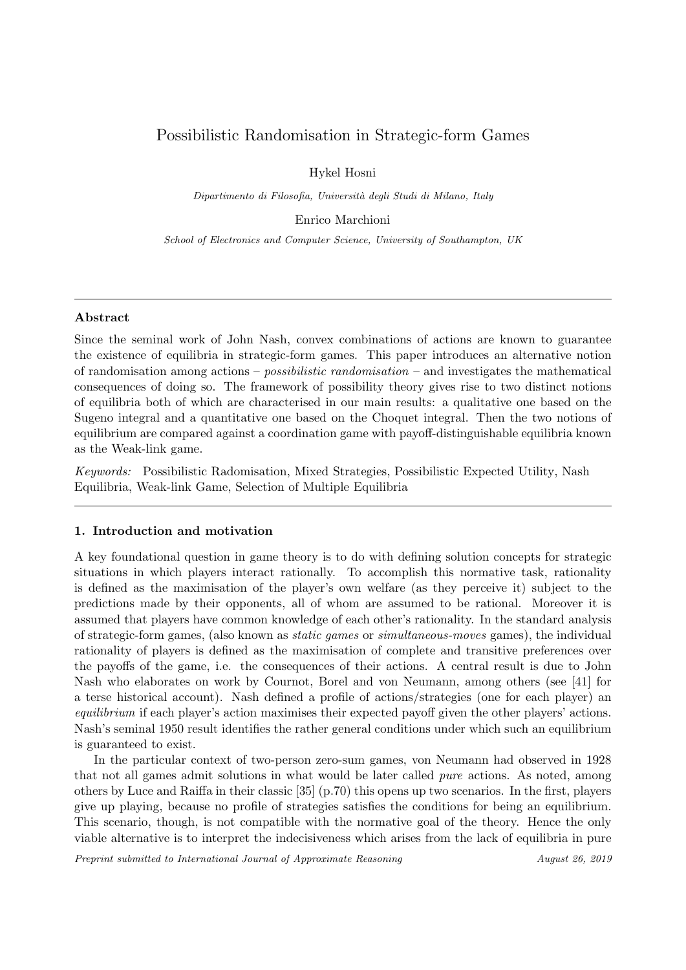# Possibilistic Randomisation in Strategic-form Games

Hykel Hosni

Dipartimento di Filosofia, Universit`a degli Studi di Milano, Italy

Enrico Marchioni

School of Electronics and Computer Science, University of Southampton, UK

# Abstract

Since the seminal work of John Nash, convex combinations of actions are known to guarantee the existence of equilibria in strategic-form games. This paper introduces an alternative notion of randomisation among actions – *possibilistic randomisation* – and investigates the mathematical consequences of doing so. The framework of possibility theory gives rise to two distinct notions of equilibria both of which are characterised in our main results: a qualitative one based on the Sugeno integral and a quantitative one based on the Choquet integral. Then the two notions of equilibrium are compared against a coordination game with payoff-distinguishable equilibria known as the Weak-link game.

Keywords: Possibilistic Radomisation, Mixed Strategies, Possibilistic Expected Utility, Nash Equilibria, Weak-link Game, Selection of Multiple Equilibria

## 1. Introduction and motivation

A key foundational question in game theory is to do with defining solution concepts for strategic situations in which players interact rationally. To accomplish this normative task, rationality is defined as the maximisation of the player's own welfare (as they perceive it) subject to the predictions made by their opponents, all of whom are assumed to be rational. Moreover it is assumed that players have common knowledge of each other's rationality. In the standard analysis of strategic-form games, (also known as static games or simultaneous-moves games), the individual rationality of players is defined as the maximisation of complete and transitive preferences over the payoffs of the game, i.e. the consequences of their actions. A central result is due to John Nash who elaborates on work by Cournot, Borel and von Neumann, among others (see [41] for a terse historical account). Nash defined a profile of actions/strategies (one for each player) an equilibrium if each player's action maximises their expected payoff given the other players' actions. Nash's seminal 1950 result identifies the rather general conditions under which such an equilibrium is guaranteed to exist.

In the particular context of two-person zero-sum games, von Neumann had observed in 1928 that not all games admit solutions in what would be later called pure actions. As noted, among others by Luce and Raiffa in their classic [35] (p.70) this opens up two scenarios. In the first, players give up playing, because no profile of strategies satisfies the conditions for being an equilibrium. This scenario, though, is not compatible with the normative goal of the theory. Hence the only viable alternative is to interpret the indecisiveness which arises from the lack of equilibria in pure

Preprint submitted to International Journal of Approximate Reasoning August 26, 2019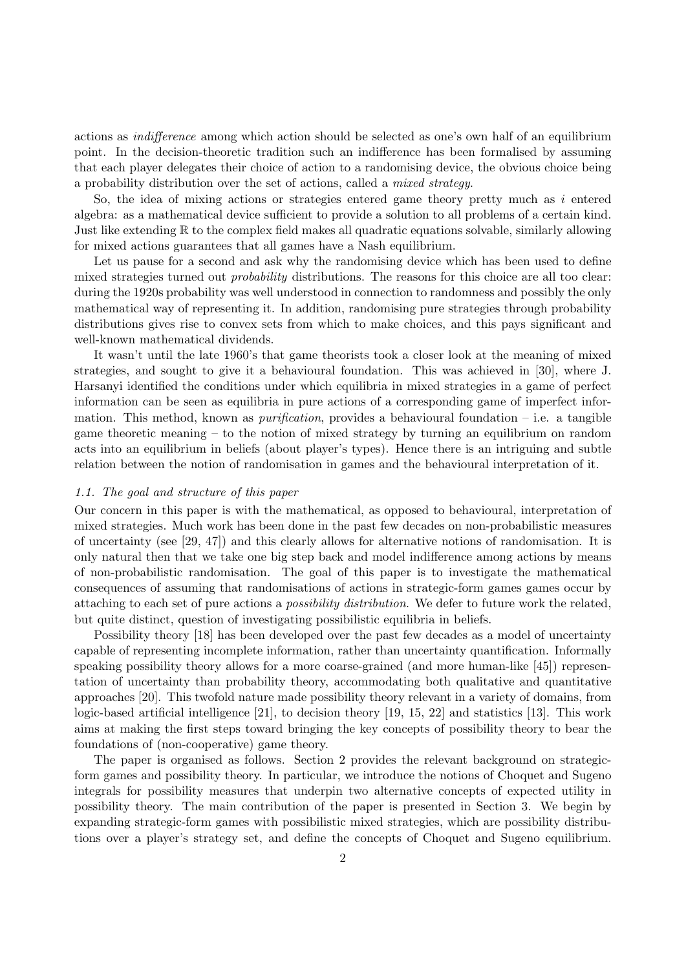actions as indifference among which action should be selected as one's own half of an equilibrium point. In the decision-theoretic tradition such an indifference has been formalised by assuming that each player delegates their choice of action to a randomising device, the obvious choice being a probability distribution over the set of actions, called a mixed strategy.

So, the idea of mixing actions or strategies entered game theory pretty much as i entered algebra: as a mathematical device sufficient to provide a solution to all problems of a certain kind. Just like extending  $\mathbb R$  to the complex field makes all quadratic equations solvable, similarly allowing for mixed actions guarantees that all games have a Nash equilibrium.

Let us pause for a second and ask why the randomising device which has been used to define mixed strategies turned out *probability* distributions. The reasons for this choice are all too clear: during the 1920s probability was well understood in connection to randomness and possibly the only mathematical way of representing it. In addition, randomising pure strategies through probability distributions gives rise to convex sets from which to make choices, and this pays significant and well-known mathematical dividends.

It wasn't until the late 1960's that game theorists took a closer look at the meaning of mixed strategies, and sought to give it a behavioural foundation. This was achieved in [30], where J. Harsanyi identified the conditions under which equilibria in mixed strategies in a game of perfect information can be seen as equilibria in pure actions of a corresponding game of imperfect information. This method, known as *purification*, provides a behavioural foundation – i.e. a tangible game theoretic meaning – to the notion of mixed strategy by turning an equilibrium on random acts into an equilibrium in beliefs (about player's types). Hence there is an intriguing and subtle relation between the notion of randomisation in games and the behavioural interpretation of it.

#### 1.1. The goal and structure of this paper

Our concern in this paper is with the mathematical, as opposed to behavioural, interpretation of mixed strategies. Much work has been done in the past few decades on non-probabilistic measures of uncertainty (see [29, 47]) and this clearly allows for alternative notions of randomisation. It is only natural then that we take one big step back and model indifference among actions by means of non-probabilistic randomisation. The goal of this paper is to investigate the mathematical consequences of assuming that randomisations of actions in strategic-form games games occur by attaching to each set of pure actions a possibility distribution. We defer to future work the related, but quite distinct, question of investigating possibilistic equilibria in beliefs.

Possibility theory [18] has been developed over the past few decades as a model of uncertainty capable of representing incomplete information, rather than uncertainty quantification. Informally speaking possibility theory allows for a more coarse-grained (and more human-like [45]) representation of uncertainty than probability theory, accommodating both qualitative and quantitative approaches [20]. This twofold nature made possibility theory relevant in a variety of domains, from logic-based artificial intelligence [21], to decision theory [19, 15, 22] and statistics [13]. This work aims at making the first steps toward bringing the key concepts of possibility theory to bear the foundations of (non-cooperative) game theory.

The paper is organised as follows. Section 2 provides the relevant background on strategicform games and possibility theory. In particular, we introduce the notions of Choquet and Sugeno integrals for possibility measures that underpin two alternative concepts of expected utility in possibility theory. The main contribution of the paper is presented in Section 3. We begin by expanding strategic-form games with possibilistic mixed strategies, which are possibility distributions over a player's strategy set, and define the concepts of Choquet and Sugeno equilibrium.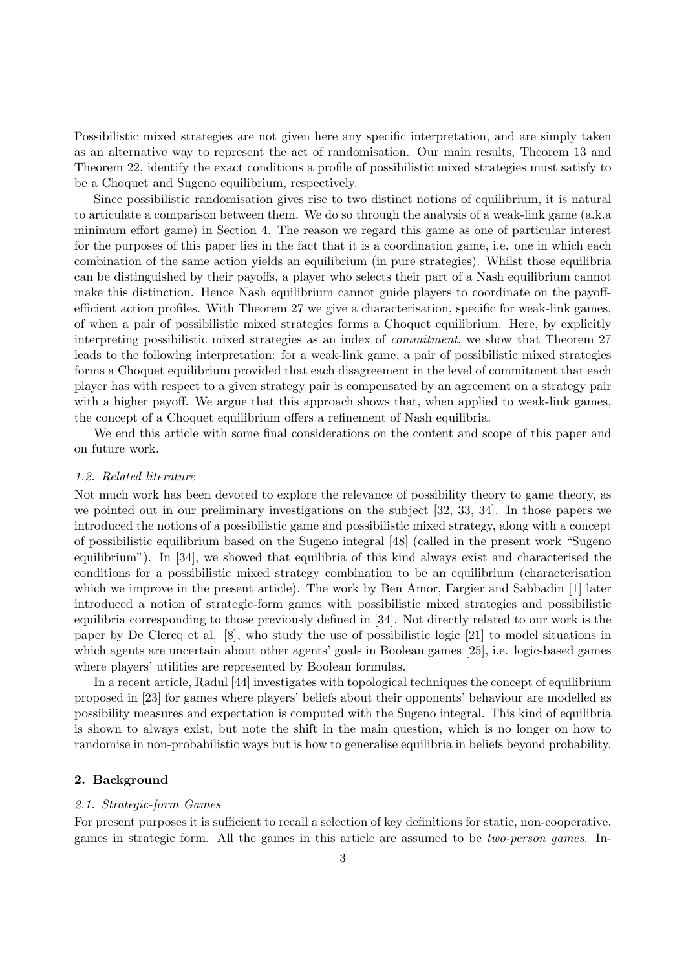Possibilistic mixed strategies are not given here any specific interpretation, and are simply taken as an alternative way to represent the act of randomisation. Our main results, Theorem 13 and Theorem 22, identify the exact conditions a profile of possibilistic mixed strategies must satisfy to be a Choquet and Sugeno equilibrium, respectively.

Since possibilistic randomisation gives rise to two distinct notions of equilibrium, it is natural to articulate a comparison between them. We do so through the analysis of a weak-link game (a.k.a minimum effort game) in Section 4. The reason we regard this game as one of particular interest for the purposes of this paper lies in the fact that it is a coordination game, i.e. one in which each combination of the same action yields an equilibrium (in pure strategies). Whilst those equilibria can be distinguished by their payoffs, a player who selects their part of a Nash equilibrium cannot make this distinction. Hence Nash equilibrium cannot guide players to coordinate on the payoffefficient action profiles. With Theorem 27 we give a characterisation, specific for weak-link games, of when a pair of possibilistic mixed strategies forms a Choquet equilibrium. Here, by explicitly interpreting possibilistic mixed strategies as an index of commitment, we show that Theorem 27 leads to the following interpretation: for a weak-link game, a pair of possibilistic mixed strategies forms a Choquet equilibrium provided that each disagreement in the level of commitment that each player has with respect to a given strategy pair is compensated by an agreement on a strategy pair with a higher payoff. We argue that this approach shows that, when applied to weak-link games, the concept of a Choquet equilibrium offers a refinement of Nash equilibria.

We end this article with some final considerations on the content and scope of this paper and on future work.

## 1.2. Related literature

Not much work has been devoted to explore the relevance of possibility theory to game theory, as we pointed out in our preliminary investigations on the subject [32, 33, 34]. In those papers we introduced the notions of a possibilistic game and possibilistic mixed strategy, along with a concept of possibilistic equilibrium based on the Sugeno integral [48] (called in the present work "Sugeno equilibrium"). In [34], we showed that equilibria of this kind always exist and characterised the conditions for a possibilistic mixed strategy combination to be an equilibrium (characterisation which we improve in the present article). The work by Ben Amor, Fargier and Sabbadin [1] later introduced a notion of strategic-form games with possibilistic mixed strategies and possibilistic equilibria corresponding to those previously defined in [34]. Not directly related to our work is the paper by De Clercq et al. [8], who study the use of possibilistic logic [21] to model situations in which agents are uncertain about other agents' goals in Boolean games [25], i.e. logic-based games where players' utilities are represented by Boolean formulas.

In a recent article, Radul [44] investigates with topological techniques the concept of equilibrium proposed in [23] for games where players' beliefs about their opponents' behaviour are modelled as possibility measures and expectation is computed with the Sugeno integral. This kind of equilibria is shown to always exist, but note the shift in the main question, which is no longer on how to randomise in non-probabilistic ways but is how to generalise equilibria in beliefs beyond probability.

# 2. Background

#### 2.1. Strategic-form Games

For present purposes it is sufficient to recall a selection of key definitions for static, non-cooperative, games in strategic form. All the games in this article are assumed to be two-person games. In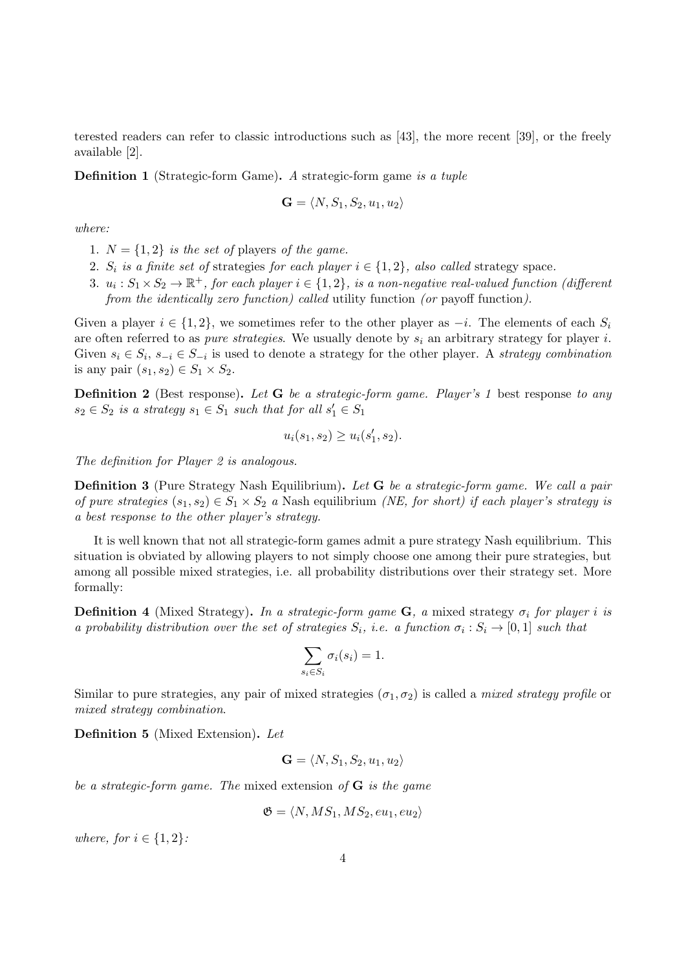terested readers can refer to classic introductions such as [43], the more recent [39], or the freely available [2].

Definition 1 (Strategic-form Game). A strategic-form game is a tuple

$$
\mathbf{G} = \langle N, S_1, S_2, u_1, u_2 \rangle
$$

where:

- 1.  $N = \{1, 2\}$  is the set of players of the game.
- 2.  $S_i$  is a finite set of strategies for each player  $i \in \{1,2\}$ , also called strategy space.
- 3.  $u_i: S_1 \times S_2 \to \mathbb{R}^+$ , for each player  $i \in \{1,2\}$ , is a non-negative real-valued function (different from the identically zero function) called utility function (or payoff function).

Given a player  $i \in \{1, 2\}$ , we sometimes refer to the other player as  $-i$ . The elements of each  $S_i$ are often referred to as *pure strategies*. We usually denote by  $s_i$  an arbitrary strategy for player i. Given  $s_i \in S_i$ ,  $s_{-i} \in S_{-i}$  is used to denote a strategy for the other player. A *strategy combination* is any pair  $(s_1, s_2) \in S_1 \times S_2$ .

**Definition 2** (Best response). Let **G** be a strategic-form game. Player's 1 best response to any  $s_2 \in S_2$  is a strategy  $s_1 \in S_1$  such that for all  $s'_1 \in S_1$ 

$$
u_i(s_1, s_2) \ge u_i(s'_1, s_2).
$$

The definition for Player 2 is analogous.

**Definition 3** (Pure Strategy Nash Equilibrium). Let **G** be a strategic-form game. We call a pair of pure strategies  $(s_1, s_2) \in S_1 \times S_2$  a Nash equilibrium *(NE, for short)* if each player's strategy is a best response to the other player's strategy.

It is well known that not all strategic-form games admit a pure strategy Nash equilibrium. This situation is obviated by allowing players to not simply choose one among their pure strategies, but among all possible mixed strategies, i.e. all probability distributions over their strategy set. More formally:

**Definition 4** (Mixed Strategy). In a strategic-form game  $\bf{G}$ , a mixed strategy  $\sigma_i$  for player i is a probability distribution over the set of strategies  $S_i$ , i.e. a function  $\sigma_i : S_i \to [0,1]$  such that

$$
\sum_{s_i \in S_i} \sigma_i(s_i) = 1.
$$

Similar to pure strategies, any pair of mixed strategies  $(\sigma_1, \sigma_2)$  is called a *mixed strategy profile* or mixed strategy combination.

Definition 5 (Mixed Extension). Let

$$
\mathbf{G} = \langle N, S_1, S_2, u_1, u_2 \rangle
$$

be a strategic-form game. The mixed extension of  $G$  is the game

$$
\mathfrak{G}=\langle N,MS_1,MS_2,eu_1,eu_2\rangle
$$

where, for  $i \in \{1,2\}$ :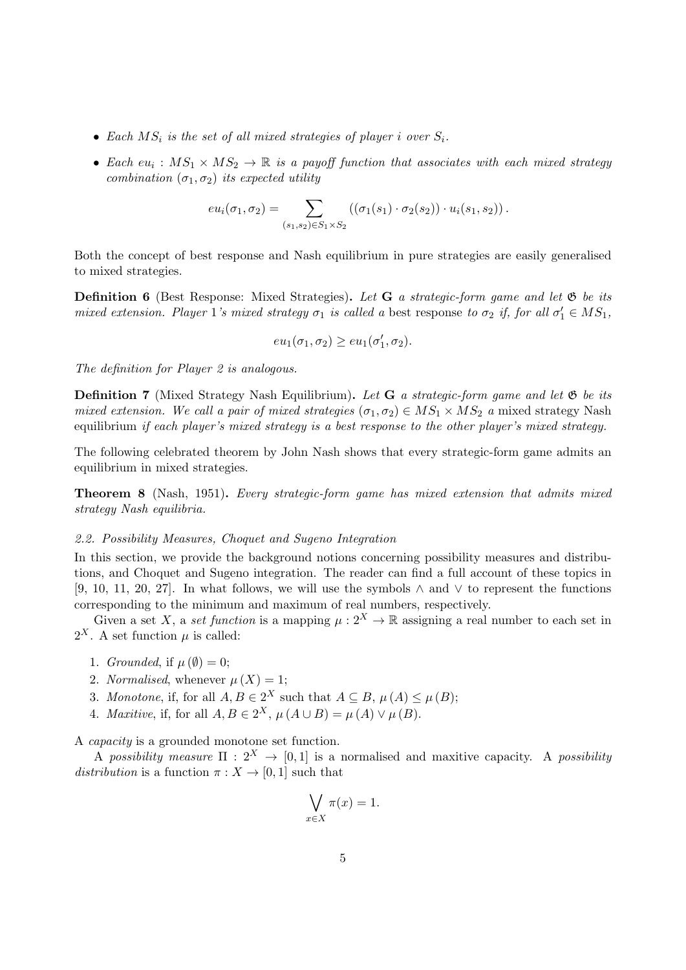- Each  $MS_i$  is the set of all mixed strategies of player i over  $S_i$ .
- Each  $eu_i: MS_1 \times MS_2 \rightarrow \mathbb{R}$  is a payoff function that associates with each mixed strategy combination  $(\sigma_1, \sigma_2)$  its expected utility

$$
eu_i(\sigma_1, \sigma_2) = \sum_{(s_1, s_2) \in S_1 \times S_2} ((\sigma_1(s_1) \cdot \sigma_2(s_2)) \cdot u_i(s_1, s_2)).
$$

Both the concept of best response and Nash equilibrium in pure strategies are easily generalised to mixed strategies.

**Definition 6** (Best Response: Mixed Strategies). Let **G** a strategic-form game and let  $\mathfrak{G}$  be its mixed extension. Player 1's mixed strategy  $\sigma_1$  is called a best response to  $\sigma_2$  if, for all  $\sigma'_1 \in MS_1$ ,

$$
eu_1(\sigma_1, \sigma_2) \geq eu_1(\sigma'_1, \sigma_2).
$$

The definition for Player 2 is analogous.

**Definition 7** (Mixed Strategy Nash Equilibrium). Let **G** a strategic-form game and let  $\mathfrak{G}$  be its mixed extension. We call a pair of mixed strategies  $(\sigma_1, \sigma_2) \in MS_1 \times MS_2$  a mixed strategy Nash equilibrium if each player's mixed strategy is a best response to the other player's mixed strategy.

The following celebrated theorem by John Nash shows that every strategic-form game admits an equilibrium in mixed strategies.

Theorem 8 (Nash, 1951). Every strategic-form game has mixed extension that admits mixed strategy Nash equilibria.

### 2.2. Possibility Measures, Choquet and Sugeno Integration

In this section, we provide the background notions concerning possibility measures and distributions, and Choquet and Sugeno integration. The reader can find a full account of these topics in [9, 10, 11, 20, 27]. In what follows, we will use the symbols ∧ and ∨ to represent the functions corresponding to the minimum and maximum of real numbers, respectively.

Given a set X, a set function is a mapping  $\mu: 2^X \to \mathbb{R}$  assigning a real number to each set in  $2^X$ . A set function  $\mu$  is called:

- 1. Grounded, if  $\mu(\emptyset) = 0$ ;
- 2. Normalised, whenever  $\mu(X) = 1$ ;
- 3. Monotone, if, for all  $A, B \in 2^X$  such that  $A \subseteq B$ ,  $\mu(A) \leq \mu(B)$ ;
- 4. Maxitive, if, for all  $A, B \in 2^X$ ,  $\mu(A \cup B) = \mu(A) \vee \mu(B)$ .

A capacity is a grounded monotone set function.

A possibility measure  $\Pi : 2^X \to [0,1]$  is a normalised and maxitive capacity. A possibility distribution is a function  $\pi : X \to [0,1]$  such that

$$
\bigvee_{x \in X} \pi(x) = 1.
$$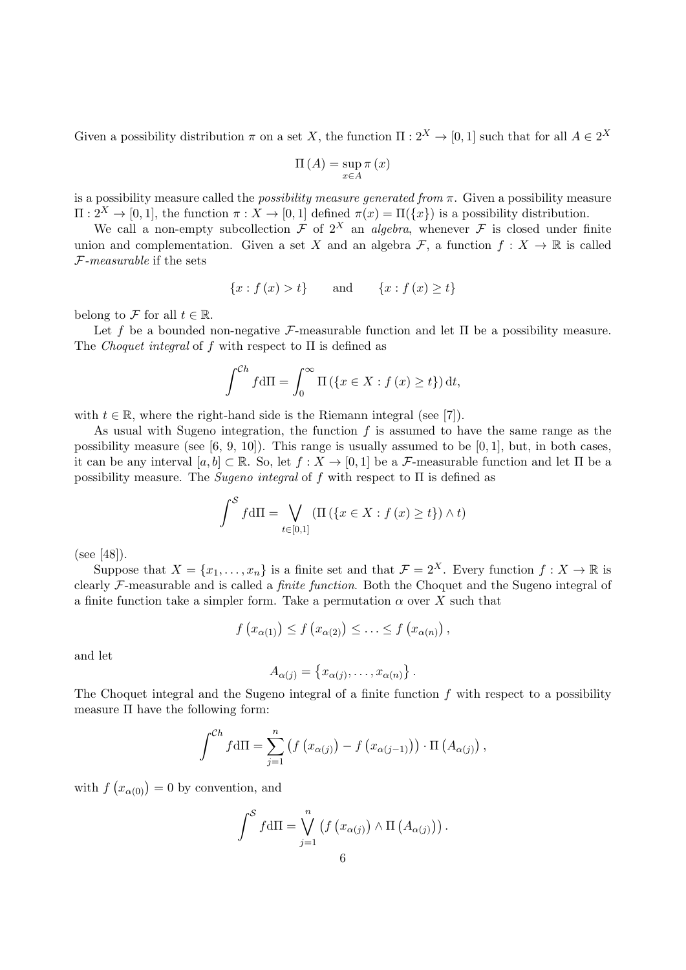Given a possibility distribution  $\pi$  on a set X, the function  $\Pi: 2^X \to [0,1]$  such that for all  $A \in 2^X$ 

$$
\Pi(A) = \sup_{x \in A} \pi(x)
$$

is a possibility measure called the *possibility measure generated from*  $\pi$ . Given a possibility measure  $\Pi: 2^X \to [0,1]$ , the function  $\pi: X \to [0,1]$  defined  $\pi(x) = \Pi({x})$  is a possibility distribution.

We call a non-empty subcollection  $\mathcal F$  of  $2^X$  an *algebra*, whenever  $\mathcal F$  is closed under finite union and complementation. Given a set X and an algebra  $\mathcal{F}$ , a function  $f: X \to \mathbb{R}$  is called  $F$ -measurable if the sets

$$
{x : f(x) > t}
$$
 and  ${x : f(x) \ge t}$ 

belong to  $\mathcal F$  for all  $t \in \mathbb R$ .

Let f be a bounded non-negative  $\mathcal F$ -measurable function and let  $\Pi$  be a possibility measure. The *Choquet integral* of f with respect to  $\Pi$  is defined as

$$
\int^{Ch} f d\Pi = \int_0^\infty \Pi \left( \{ x \in X : f(x) \ge t \} \right) dt,
$$

with  $t \in \mathbb{R}$ , where the right-hand side is the Riemann integral (see [7]).

As usual with Sugeno integration, the function  $f$  is assumed to have the same range as the possibility measure (see  $[6, 9, 10]$ ). This range is usually assumed to be  $[0, 1]$ , but, in both cases, it can be any interval  $[a, b] \subset \mathbb{R}$ . So, let  $f : X \to [0, 1]$  be a F-measurable function and let  $\Pi$  be a possibility measure. The *Sugeno integral* of f with respect to  $\Pi$  is defined as

$$
\int^{\mathcal{S}} f \, \mathrm{d}\Pi = \bigvee_{t \in [0,1]} \left( \Pi \left( \{ x \in X : f \left( x \right) \ge t \} \right) \wedge t \right)
$$

(see [48]).

Suppose that  $X = \{x_1, \ldots, x_n\}$  is a finite set and that  $\mathcal{F} = 2^X$ . Every function  $f : X \to \mathbb{R}$  is clearly F-measurable and is called a finite function. Both the Choquet and the Sugeno integral of a finite function take a simpler form. Take a permutation  $\alpha$  over X such that

$$
f(x_{\alpha(1)}) \leq f(x_{\alpha(2)}) \leq \ldots \leq f(x_{\alpha(n)})
$$

and let

$$
A_{\alpha(j)} = \{x_{\alpha(j)}, \ldots, x_{\alpha(n)}\}.
$$

The Choquet integral and the Sugeno integral of a finite function  $f$  with respect to a possibility measure Π have the following form:

$$
\int^{Ch} f d\Pi = \sum_{j=1}^{n} \left( f \left( x_{\alpha(j)} \right) - f \left( x_{\alpha(j-1)} \right) \right) \cdot \Pi \left( A_{\alpha(j)} \right),
$$

with  $f(x_{\alpha(0)})=0$  by convention, and

$$
\int^{\mathcal{S}} f d\Pi = \bigvee_{j=1}^{n} \left( f \left( x_{\alpha(j)} \right) \wedge \Pi \left( A_{\alpha(j)} \right) \right).
$$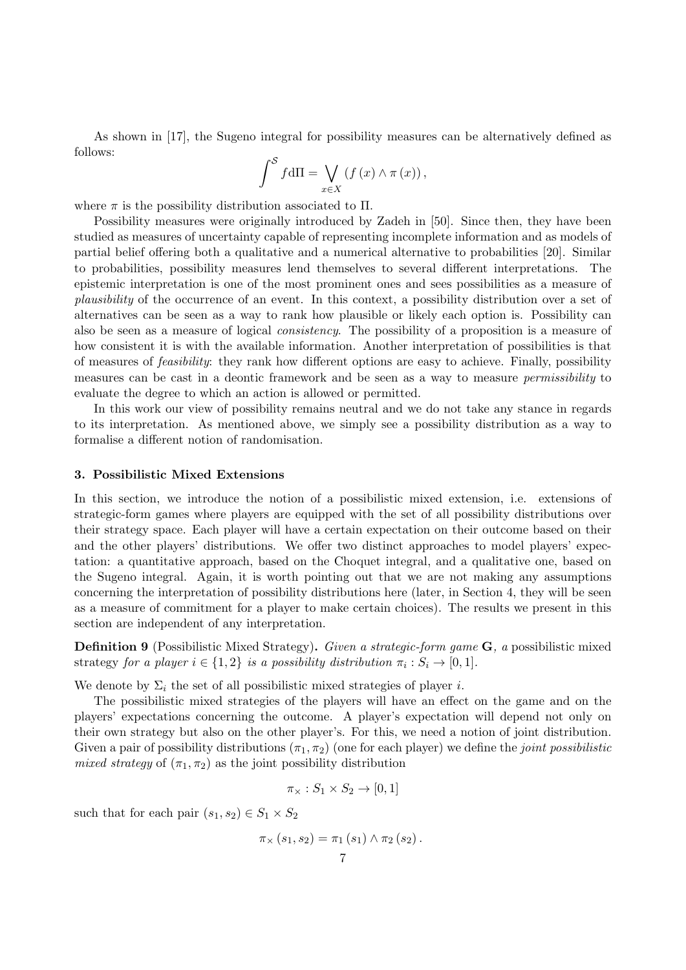As shown in [17], the Sugeno integral for possibility measures can be alternatively defined as follows:

$$
\int^{\mathcal{S}} f d\Pi = \bigvee_{x \in X} \left( f(x) \wedge \pi(x) \right),
$$

where  $\pi$  is the possibility distribution associated to  $\Pi$ .

Possibility measures were originally introduced by Zadeh in [50]. Since then, they have been studied as measures of uncertainty capable of representing incomplete information and as models of partial belief offering both a qualitative and a numerical alternative to probabilities [20]. Similar to probabilities, possibility measures lend themselves to several different interpretations. The epistemic interpretation is one of the most prominent ones and sees possibilities as a measure of plausibility of the occurrence of an event. In this context, a possibility distribution over a set of alternatives can be seen as a way to rank how plausible or likely each option is. Possibility can also be seen as a measure of logical consistency. The possibility of a proposition is a measure of how consistent it is with the available information. Another interpretation of possibilities is that of measures of feasibility: they rank how different options are easy to achieve. Finally, possibility measures can be cast in a deontic framework and be seen as a way to measure permissibility to evaluate the degree to which an action is allowed or permitted.

In this work our view of possibility remains neutral and we do not take any stance in regards to its interpretation. As mentioned above, we simply see a possibility distribution as a way to formalise a different notion of randomisation.

#### 3. Possibilistic Mixed Extensions

In this section, we introduce the notion of a possibilistic mixed extension, i.e. extensions of strategic-form games where players are equipped with the set of all possibility distributions over their strategy space. Each player will have a certain expectation on their outcome based on their and the other players' distributions. We offer two distinct approaches to model players' expectation: a quantitative approach, based on the Choquet integral, and a qualitative one, based on the Sugeno integral. Again, it is worth pointing out that we are not making any assumptions concerning the interpretation of possibility distributions here (later, in Section 4, they will be seen as a measure of commitment for a player to make certain choices). The results we present in this section are independent of any interpretation.

Definition 9 (Possibilistic Mixed Strategy). Given a strategic-form game G, a possibilistic mixed strategy for a player  $i \in \{1,2\}$  is a possibility distribution  $\pi_i : S_i \to [0,1]$ .

We denote by  $\Sigma_i$  the set of all possibilistic mixed strategies of player *i*.

The possibilistic mixed strategies of the players will have an effect on the game and on the players' expectations concerning the outcome. A player's expectation will depend not only on their own strategy but also on the other player's. For this, we need a notion of joint distribution. Given a pair of possibility distributions  $(\pi_1, \pi_2)$  (one for each player) we define the joint possibilistic mixed strategy of  $(\pi_1, \pi_2)$  as the joint possibility distribution

$$
\pi_{\times}: S_1 \times S_2 \to [0,1]
$$

such that for each pair  $(s_1, s_2) \in S_1 \times S_2$ 

$$
\pi_{\times}\left(s_{1}, s_{2}\right)=\pi_{1}\left(s_{1}\right) \wedge \pi_{2}\left(s_{2}\right).
$$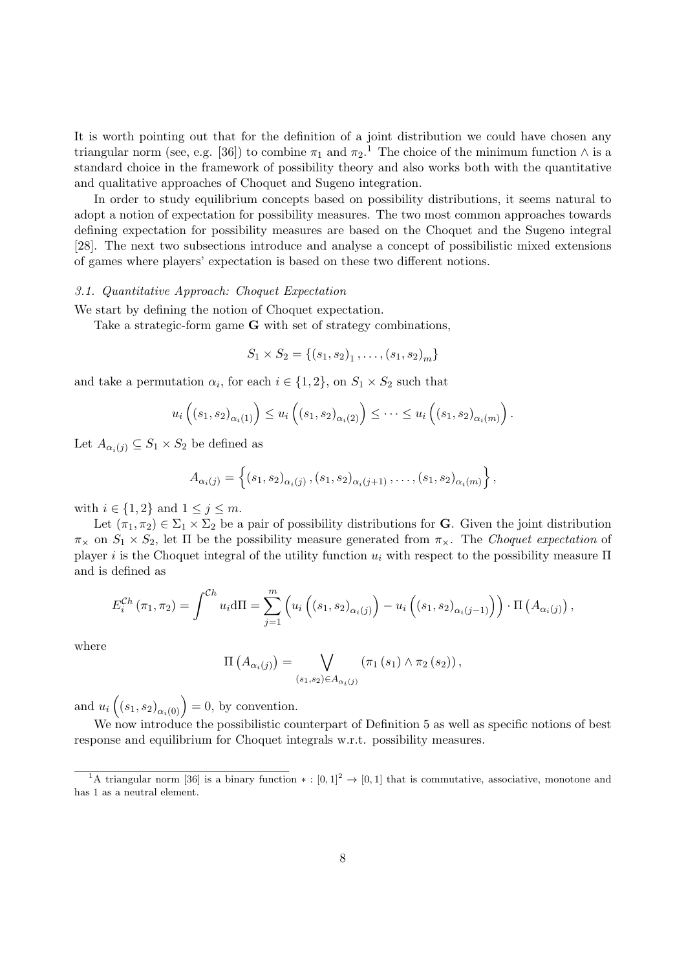It is worth pointing out that for the definition of a joint distribution we could have chosen any triangular norm (see, e.g. [36]) to combine  $\pi_1$  and  $\pi_2$ .<sup>1</sup> The choice of the minimum function  $\wedge$  is a standard choice in the framework of possibility theory and also works both with the quantitative and qualitative approaches of Choquet and Sugeno integration.

In order to study equilibrium concepts based on possibility distributions, it seems natural to adopt a notion of expectation for possibility measures. The two most common approaches towards defining expectation for possibility measures are based on the Choquet and the Sugeno integral [28]. The next two subsections introduce and analyse a concept of possibilistic mixed extensions of games where players' expectation is based on these two different notions.

#### 3.1. Quantitative Approach: Choquet Expectation

We start by defining the notion of Choquet expectation.

Take a strategic-form game G with set of strategy combinations,

$$
S_1 \times S_2 = \{(s_1, s_2)_1, \dots, (s_1, s_2)_m\}
$$

and take a permutation  $\alpha_i$ , for each  $i \in \{1, 2\}$ , on  $S_1 \times S_2$  such that

$$
u_i\left((s_1,s_2)_{\alpha_i(1)}\right)\leq u_i\left((s_1,s_2)_{\alpha_i(2)}\right)\leq \cdots \leq u_i\left((s_1,s_2)_{\alpha_i(m)}\right).
$$

Let  $A_{\alpha_i(j)} \subseteq S_1 \times S_2$  be defined as

$$
A_{\alpha_i(j)} = \left\{ (s_1, s_2)_{\alpha_i(j)}, (s_1, s_2)_{\alpha_i(j+1)}, \ldots, (s_1, s_2)_{\alpha_i(m)} \right\},\,
$$

with  $i \in \{1,2\}$  and  $1 \leq j \leq m$ .

Let  $(\pi_1, \pi_2) \in \Sigma_1 \times \Sigma_2$  be a pair of possibility distributions for **G**. Given the joint distribution  $\pi_{\times}$  on  $S_1 \times S_2$ , let  $\Pi$  be the possibility measure generated from  $\pi_{\times}$ . The Choquet expectation of player i is the Choquet integral of the utility function  $u_i$  with respect to the possibility measure  $\Pi$ and is defined as

$$
E_i^{Ch}(\pi_1, \pi_2) = \int^{Ch} u_i d\Pi = \sum_{j=1}^m \left( u_i \left( (s_1, s_2)_{\alpha_i(j)} \right) - u_i \left( (s_1, s_2)_{\alpha_i(j-1)} \right) \right) \cdot \Pi \left( A_{\alpha_i(j)} \right),
$$

where

$$
\Pi(A_{\alpha_i(j)}) = \bigvee_{(s_1,s_2) \in A_{\alpha_i(j)}} (\pi_1(s_1) \wedge \pi_2(s_2)),
$$

and  $u_i\left((s_1,s_2)_{\alpha_i(0)}\right)=0$ , by convention.

We now introduce the possibilistic counterpart of Definition 5 as well as specific notions of best response and equilibrium for Choquet integrals w.r.t. possibility measures.

<sup>&</sup>lt;sup>1</sup>A triangular norm [36] is a binary function  $\ast : [0,1]^2 \rightarrow [0,1]$  that is commutative, associative, monotone and has 1 as a neutral element.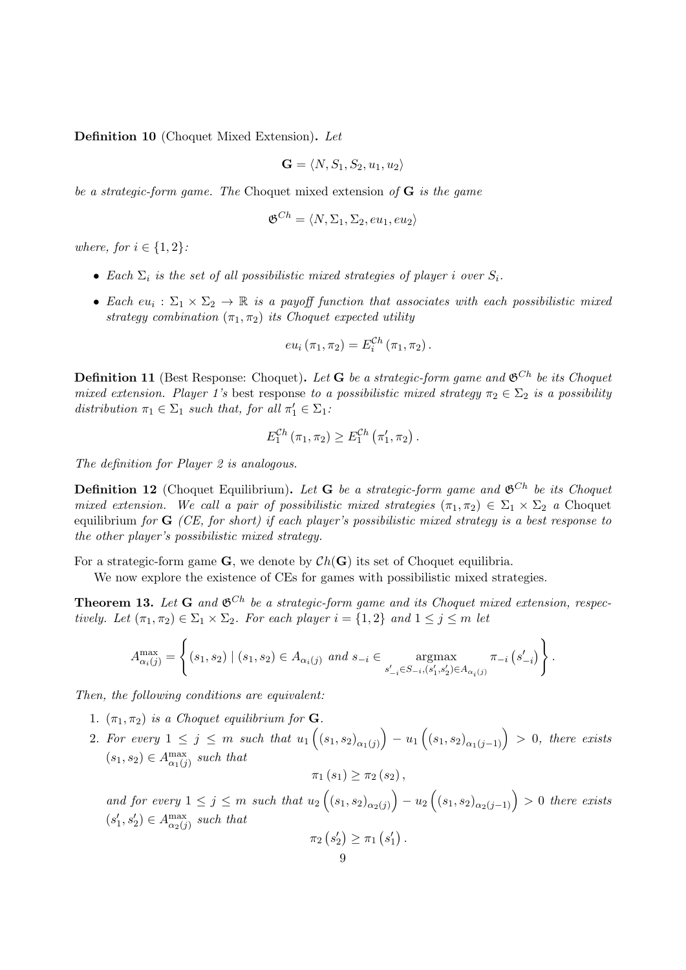Definition 10 (Choquet Mixed Extension). Let

$$
\mathbf{G} = \langle N, S_1, S_2, u_1, u_2 \rangle
$$

be a strategic-form game. The Choquet mixed extension of  $G$  is the game

$$
\mathfrak{G}^{Ch}=\langle N,\Sigma_1,\Sigma_2, e u_1, e u_2\rangle
$$

where, for  $i \in \{1,2\}$ :

- Each  $\Sigma_i$  is the set of all possibilistic mixed strategies of player i over  $S_i$ .
- Each  $eu_i : \Sigma_1 \times \Sigma_2 \to \mathbb{R}$  is a payoff function that associates with each possibilistic mixed strategy combination  $(\pi_1, \pi_2)$  its Choquet expected utility

$$
eu_i\left(\pi_1,\pi_2\right)=E_i^{\mathcal{C}h}\left(\pi_1,\pi_2\right).
$$

**Definition 11** (Best Response: Choquet). Let **G** be a strategic-form game and  $\mathfrak{G}^{Ch}$  be its Choquet mixed extension. Player 1's best response to a possibilistic mixed strategy  $\pi_2 \in \Sigma_2$  is a possibility distribution  $\pi_1 \in \Sigma_1$  such that, for all  $\pi'_1 \in \Sigma_1$ :

$$
E_1^{\mathcal{C}h}(\pi_1,\pi_2)\geq E_1^{\mathcal{C}h}(\pi'_1,\pi_2).
$$

The definition for Player 2 is analogous.

**Definition 12** (Choquet Equilibrium). Let **G** be a strategic-form game and  $\mathfrak{G}^{Ch}$  be its Choquet mixed extension. We call a pair of possibilistic mixed strategies  $(\pi_1, \pi_2) \in \Sigma_1 \times \Sigma_2$  a Choquet equilibrium for  $G$  (CE, for short) if each player's possibilistic mixed strategy is a best response to the other player's possibilistic mixed strategy.

For a strategic-form game **G**, we denote by  $Ch(G)$  its set of Choquet equilibria.

We now explore the existence of CEs for games with possibilistic mixed strategies.

**Theorem 13.** Let  $G$  and  $\mathfrak{G}^{Ch}$  be a strategic-form game and its Choquet mixed extension, respectively. Let  $(\pi_1, \pi_2) \in \Sigma_1 \times \Sigma_2$ . For each player  $i = \{1, 2\}$  and  $1 \leq j \leq m$  let

$$
A_{\alpha_i(j)}^{\max} = \left\{ (s_1, s_2) \mid (s_1, s_2) \in A_{\alpha_i(j)} \text{ and } s_{-i} \in \underset{s'_{-i} \in S_{-i}, (s'_1, s'_2) \in A_{\alpha_i(j)}}{\operatorname{argmax}} \pi_{-i} (s'_{-i}) \right\}.
$$

Then, the following conditions are equivalent:

- 1.  $(\pi_1, \pi_2)$  is a Choquet equilibrium for **G**.
- 2. For every  $1 \leq j \leq m$  such that  $u_1\left( (s_1,s_2)_{\alpha_1(j)} \right) u_1\left( (s_1,s_2)_{\alpha_1(j-1)} \right) > 0$ , there exists  $(s_1, s_2) \in A_{\alpha_1(j)}^{\max}$  such that  $\pi_1(s_1) > \pi_2(s_2),$

and for every  $1 \leq j \leq m$  such that  $u_2((s_1,s_2)_{\alpha_2(j)}) - u_2((s_1,s_2)_{\alpha_2(j-1)}) > 0$  there exists  $(s'_1, s'_2) \in A_{\alpha_2(j)}^{\max}$  such that

$$
\pi_2\left(s_2'\right)\geq \pi_1\left(s_1'\right).
$$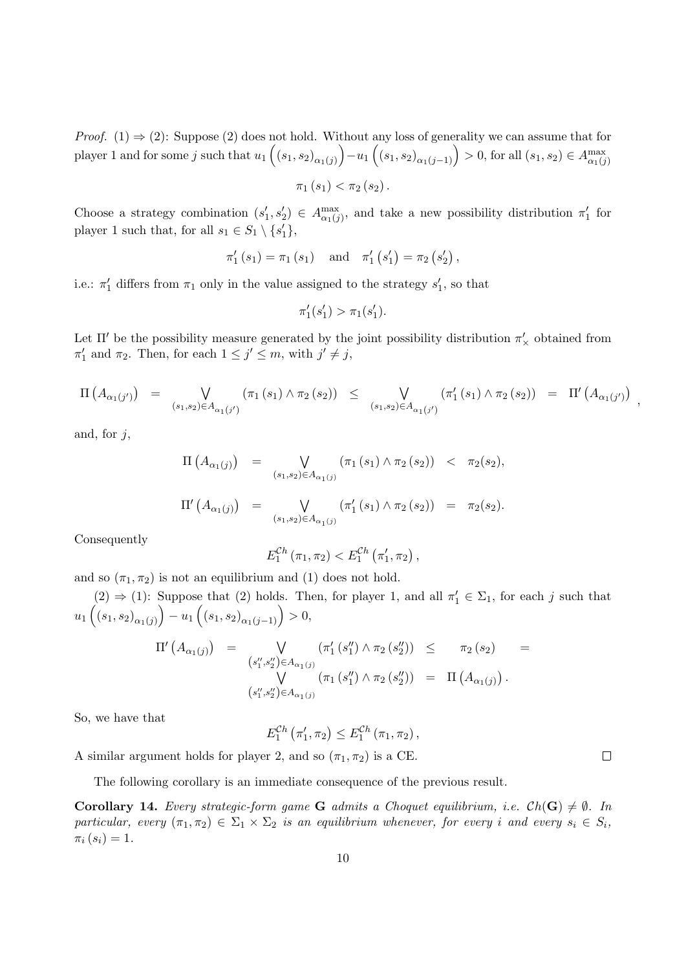*Proof.* (1)  $\Rightarrow$  (2): Suppose (2) does not hold. Without any loss of generality we can assume that for  $\text{player 1 and for some } j \text{ such that } u_1\left(\left(s_1, s_2\right)_{\alpha_1(j)}\right) - u_1\left(\left(s_1, s_2\right)_{\alpha_1(j-1)}\right) > 0 \text{, for all } (s_1, s_2) \in A_{\alpha_1(j)}^{\max}$ 

$$
\pi_1(s_1) < \pi_2(s_2).
$$

Choose a strategy combination  $(s'_1, s'_2) \in A_{\alpha_1(j)}^{\max}$ , and take a new possibility distribution  $\pi'_1$  for player 1 such that, for all  $s_1 \in S_1 \setminus \{s'_1\},\$ 

$$
\pi'_1(s_1) = \pi_1(s_1)
$$
 and  $\pi'_1(s'_1) = \pi_2(s'_2)$ ,

i.e.:  $\pi'_1$  differs from  $\pi_1$  only in the value assigned to the strategy  $s'_1$ , so that

$$
\pi'_1(s'_1) > \pi_1(s'_1).
$$

Let  $\Pi'$  be the possibility measure generated by the joint possibility distribution  $\pi'_{\times}$  obtained from  $\pi'_1$  and  $\pi_2$ . Then, for each  $1 \leq j' \leq m$ , with  $j' \neq j$ ,

$$
\Pi\left(A_{\alpha_1(j')}\right) = \bigvee_{(s_1,s_2)\in A_{\alpha_1(j')}}\left(\pi_1\left(s_1\right)\wedge \pi_2\left(s_2\right)\right) \leq \bigvee_{(s_1,s_2)\in A_{\alpha_1(j')}}\left(\pi_1'\left(s_1\right)\wedge \pi_2\left(s_2\right)\right) = \Pi'\left(A_{\alpha_1(j')}\right),
$$

and, for  $j$ ,

$$
\Pi\left(A_{\alpha_1(j)}\right) = \bigvee_{(s_1,s_2)\in A_{\alpha_1(j)}} (\pi_1(s_1) \wedge \pi_2(s_2)) < \pi_2(s_2),
$$
  

$$
\Pi'\left(A_{\alpha_1(j)}\right) = \bigvee_{(s_1,s_2)\in A_{\alpha_1(j)}} (\pi'_1(s_1) \wedge \pi_2(s_2)) = \pi_2(s_2).
$$

Consequently

$$
E_1^{Ch}(\pi_1, \pi_2) < E_1^{Ch}(\pi'_1, \pi_2),
$$

and so  $(\pi_1, \pi_2)$  is not an equilibrium and (1) does not hold.

 $(2) \Rightarrow (1)$ : Suppose that (2) holds. Then, for player 1, and all  $\pi'_1 \in \Sigma_1$ , for each j such that  $u_1\left( (s_1,s_2)_{\alpha_1(j)} \right) - u_1\left( (s_1,s_2)_{\alpha_1(j-1)} \right) > 0,$ 

$$
\Pi'\left(A_{\alpha_1(j)}\right) = \bigvee_{\substack{(s_1'',s_2'') \in A_{\alpha_1(j)} \\ \bigvee \{x_1'',s_2''\} \in A_{\alpha_1(j)}}} \left(\pi_1'\left(s_1''\right) \wedge \pi_2\left(s_2''\right)\right) \leq \pi_2\left(s_2\right) = \Pi\left(A_{\alpha_1(j)}\right).
$$

So, we have that

$$
E_1^{Ch}(\pi_1', \pi_2) \leq E_1^{Ch}(\pi_1, \pi_2),
$$

A similar argument holds for player 2, and so  $(\pi_1, \pi_2)$  is a CE.

The following corollary is an immediate consequence of the previous result.

**Corollary 14.** Every strategic-form game **G** admits a Choquet equilibrium, i.e.  $Ch(G) \neq \emptyset$ . In particular, every  $(\pi_1, \pi_2) \in \Sigma_1 \times \Sigma_2$  is an equilibrium whenever, for every i and every  $s_i \in S_i$ ,  $\pi_i(s_i) = 1.$ 

 $\Box$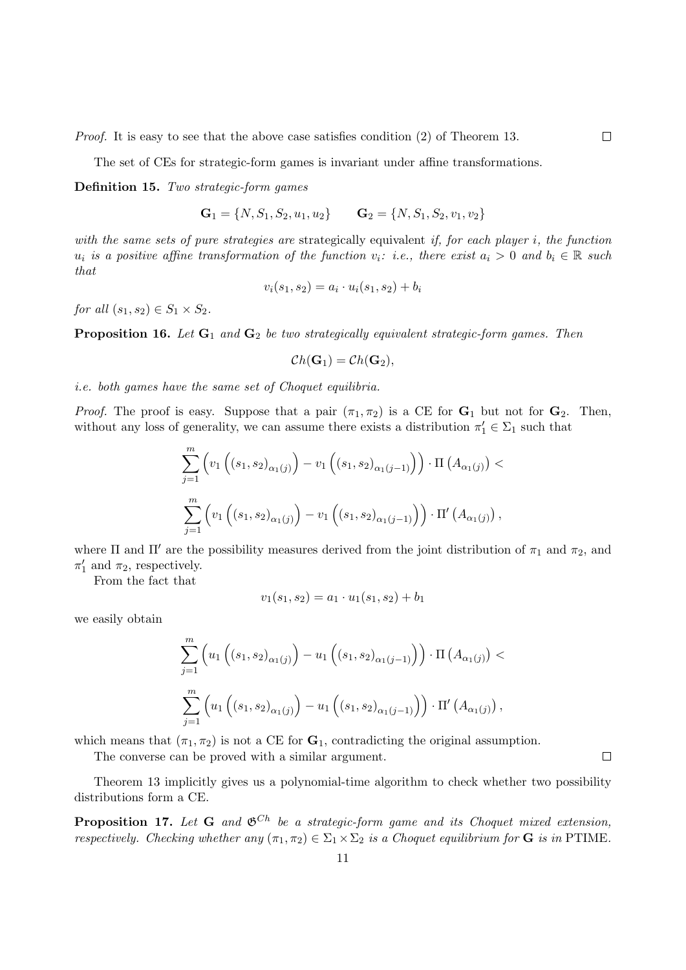Proof. It is easy to see that the above case satisfies condition (2) of Theorem 13.

The set of CEs for strategic-form games is invariant under affine transformations.

Definition 15. Two strategic-form games

$$
\mathbf{G}_1 = \{N, S_1, S_2, u_1, u_2\} \qquad \mathbf{G}_2 = \{N, S_1, S_2, v_1, v_2\}
$$

with the same sets of pure strategies are strategically equivalent if, for each player i, the function  $u_i$  is a positive affine transformation of the function  $v_i$ : i.e., there exist  $a_i > 0$  and  $b_i \in \mathbb{R}$  such that

$$
v_i(s_1, s_2) = a_i \cdot u_i(s_1, s_2) + b_i
$$

for all  $(s_1, s_2) \in S_1 \times S_2$ .

**Proposition 16.** Let  $G_1$  and  $G_2$  be two strategically equivalent strategic-form games. Then

$$
\mathcal{C}h(\mathbf{G}_1)=\mathcal{C}h(\mathbf{G}_2),
$$

i.e. both games have the same set of Choquet equilibria.

*Proof.* The proof is easy. Suppose that a pair  $(\pi_1, \pi_2)$  is a CE for  $G_1$  but not for  $G_2$ . Then, without any loss of generality, we can assume there exists a distribution  $\pi'_1 \in \Sigma_1$  such that

$$
\sum_{j=1}^{m} \left( v_1 \left( (s_1, s_2)_{\alpha_1(j)} \right) - v_1 \left( (s_1, s_2)_{\alpha_1(j-1)} \right) \right) \cdot \Pi \left( A_{\alpha_1(j)} \right) \n\sum_{j=1}^{m} \left( v_1 \left( (s_1, s_2)_{\alpha_1(j)} \right) - v_1 \left( (s_1, s_2)_{\alpha_1(j-1)} \right) \right) \cdot \Pi' \left( A_{\alpha_1(j)} \right),
$$

where  $\Pi$  and  $\Pi'$  are the possibility measures derived from the joint distribution of  $\pi_1$  and  $\pi_2$ , and  $\pi'_1$  and  $\pi_2$ , respectively.

From the fact that

$$
v_1(s_1, s_2) = a_1 \cdot u_1(s_1, s_2) + b_1
$$

we easily obtain

$$
\sum_{j=1}^{m} \left( u_1 \left( (s_1, s_2)_{\alpha_1(j)} \right) - u_1 \left( (s_1, s_2)_{\alpha_1(j-1)} \right) \right) \cdot \Pi \left( A_{\alpha_1(j)} \right) \n\sum_{j=1}^{m} \left( u_1 \left( (s_1, s_2)_{\alpha_1(j)} \right) - u_1 \left( (s_1, s_2)_{\alpha_1(j-1)} \right) \right) \cdot \Pi' \left( A_{\alpha_1(j)} \right),
$$

which means that  $(\pi_1, \pi_2)$  is not a CE for  $\mathbf{G}_1$ , contradicting the original assumption.

The converse can be proved with a similar argument.

Theorem 13 implicitly gives us a polynomial-time algorithm to check whether two possibility distributions form a CE.

**Proposition 17.** Let  $G$  and  $\mathfrak{G}^{Ch}$  be a strategic-form game and its Choquet mixed extension, respectively. Checking whether any  $(\pi_1, \pi_2) \in \Sigma_1 \times \Sigma_2$  is a Choquet equilibrium for **G** is in PTIME.

 $\Box$ 

 $\Box$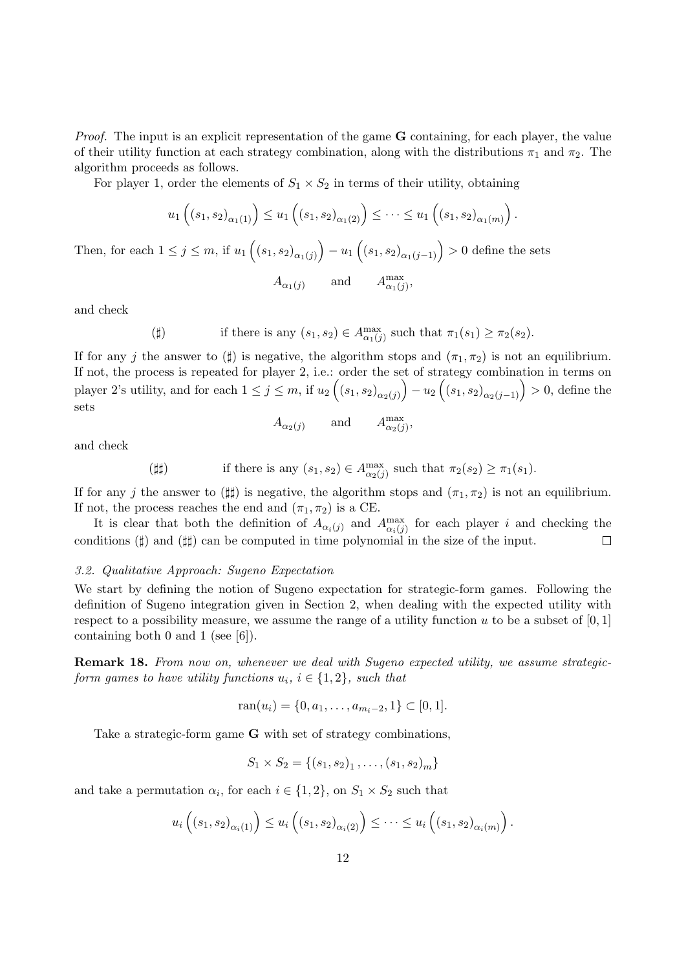Proof. The input is an explicit representation of the game **G** containing, for each player, the value of their utility function at each strategy combination, along with the distributions  $\pi_1$  and  $\pi_2$ . The algorithm proceeds as follows.

For player 1, order the elements of  $S_1 \times S_2$  in terms of their utility, obtaining

$$
u_1((s_1, s_2)_{\alpha_1(1)}) \leq u_1((s_1, s_2)_{\alpha_1(2)}) \leq \cdots \leq u_1((s_1, s_2)_{\alpha_1(m)})
$$
.

Then, for each  $1 \leq j \leq m$ , if  $u_1\left( (s_1, s_2)_{\alpha_1(j)} \right) - u_1\left( (s_1, s_2)_{\alpha_1(j-1)} \right) > 0$  define the sets

$$
A_{\alpha_1(j)}
$$
 and  $A_{\alpha_1(j)}^{\max}$ ,

and check

$$
(\sharp) \quad \text{if there is any } (s_1, s_2) \in A_{\alpha_1(j)}^{\max} \text{ such that } \pi_1(s_1) \ge \pi_2(s_2).
$$

If for any j the answer to ( $\sharp$ ) is negative, the algorithm stops and  $(\pi_1, \pi_2)$  is not an equilibrium. If not, the process is repeated for player 2, i.e.: order the set of strategy combination in terms on player 2's utility, and for each  $1 \leq j \leq m$ , if  $u_2\left( (s_1, s_2)_{\alpha_2(j)} \right) - u_2\left( (s_1, s_2)_{\alpha_2(j-1)} \right) > 0$ , define the sets

$$
A_{\alpha_2(j)}
$$
 and  $A_{\alpha_2(j)}^{\max}$ ,

and check

$$
(\sharp \sharp) \quad \text{if there is any } (s_1, s_2) \in A_{\alpha_2(j)}^{\max} \text{ such that } \pi_2(s_2) \ge \pi_1(s_1).
$$

If for any j the answer to ( $\sharp\sharp$ ) is negative, the algorithm stops and  $(\pi_1, \pi_2)$  is not an equilibrium. If not, the process reaches the end and  $(\pi_1, \pi_2)$  is a CE.

It is clear that both the definition of  $A_{\alpha_i(j)}$  and  $A_{\alpha_i(j)}^{\max}$  for each player i and checking the conditions  $(f)$  and  $(f)$  can be computed in time polynomial in the size of the input.  $\Box$ 

## 3.2. Qualitative Approach: Sugeno Expectation

We start by defining the notion of Sugeno expectation for strategic-form games. Following the definition of Sugeno integration given in Section 2, when dealing with the expected utility with respect to a possibility measure, we assume the range of a utility function u to be a subset of  $[0,1]$ containing both 0 and 1 (see [6]).

Remark 18. From now on, whenever we deal with Sugeno expected utility, we assume strategicform games to have utility functions  $u_i, i \in \{1,2\}$ , such that

$$
\text{ran}(u_i) = \{0, a_1, \dots, a_{m_i-2}, 1\} \subset [0, 1].
$$

Take a strategic-form game G with set of strategy combinations,

$$
S_1 \times S_2 = \{(s_1, s_2)_1, \dots, (s_1, s_2)_m\}
$$

and take a permutation  $\alpha_i$ , for each  $i \in \{1, 2\}$ , on  $S_1 \times S_2$  such that

$$
u_i\left((s_1,s_2)_{\alpha_i(1)}\right)\leq u_i\left((s_1,s_2)_{\alpha_i(2)}\right)\leq \cdots \leq u_i\left((s_1,s_2)_{\alpha_i(m)}\right).
$$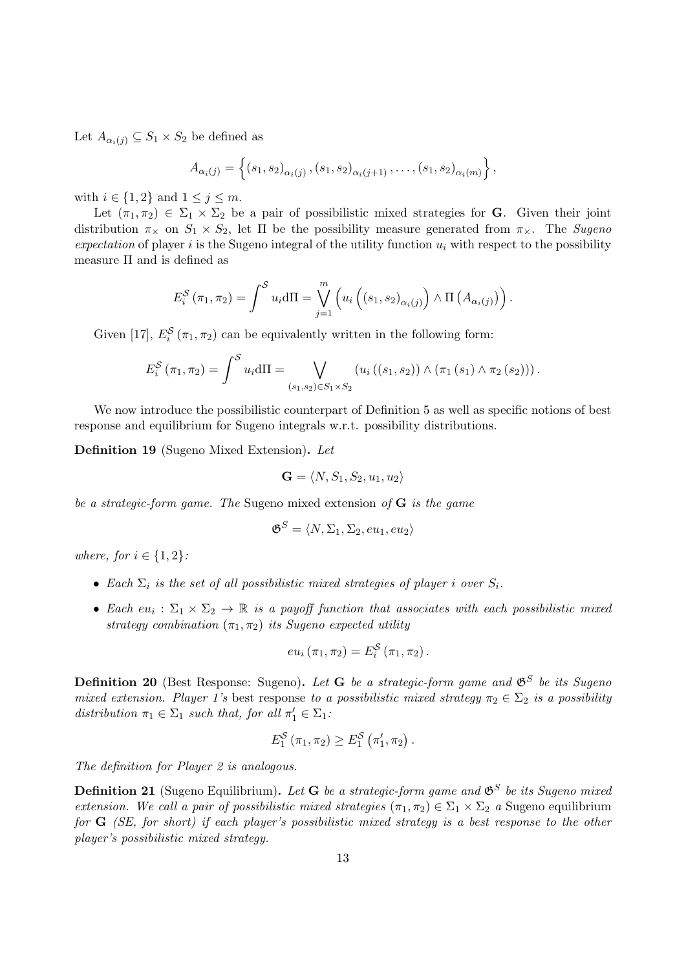Let  $A_{\alpha_i(j)} \subseteq S_1 \times S_2$  be defined as

$$
A_{\alpha_i(j)} = \left\{ (s_1, s_2)_{\alpha_i(j)}, (s_1, s_2)_{\alpha_i(j+1)}, \ldots, (s_1, s_2)_{\alpha_i(m)} \right\},\,
$$

with  $i \in \{1,2\}$  and  $1 \leq j \leq m$ .

Let  $(\pi_1, \pi_2) \in \Sigma_1 \times \Sigma_2$  be a pair of possibilistic mixed strategies for **G**. Given their joint distribution  $\pi_{\times}$  on  $S_1 \times S_2$ , let  $\Pi$  be the possibility measure generated from  $\pi_{\times}$ . The Sugeno expectation of player i is the Sugeno integral of the utility function  $u_i$  with respect to the possibility measure Π and is defined as

$$
E_i^{\mathcal{S}}(\pi_1, \pi_2) = \int^{\mathcal{S}} u_i d\Pi = \bigvee_{j=1}^m \left( u_i \left( (s_1, s_2)_{\alpha_i(j)} \right) \wedge \Pi \left( A_{\alpha_i(j)} \right) \right).
$$

Given [17],  $E_i^{\mathcal{S}}(\pi_1, \pi_2)$  can be equivalently written in the following form:

$$
E_i^{\mathcal{S}}(\pi_1, \pi_2) = \int^{\mathcal{S}} u_i d\Pi = \bigvee_{(s_1, s_2) \in S_1 \times S_2} (u_i((s_1, s_2)) \wedge (\pi_1(s_1) \wedge \pi_2(s_2))).
$$

We now introduce the possibilistic counterpart of Definition 5 as well as specific notions of best response and equilibrium for Sugeno integrals w.r.t. possibility distributions.

Definition 19 (Sugeno Mixed Extension). Let

$$
\mathbf{G} = \langle N, S_1, S_2, u_1, u_2 \rangle
$$

be a strategic-form game. The Sugeno mixed extension of  $\bf{G}$  is the game

$$
\mathfrak{G}^S = \langle N, \Sigma_1, \Sigma_2, eu_1, eu_2 \rangle
$$

where, for  $i \in \{1,2\}$ :

- Each  $\Sigma_i$  is the set of all possibilistic mixed strategies of player i over  $S_i$ .
- Each  $eu_i : \Sigma_1 \times \Sigma_2 \to \mathbb{R}$  is a payoff function that associates with each possibilistic mixed strategy combination  $(\pi_1, \pi_2)$  its Sugeno expected utility

$$
eu_i\left(\pi_1,\pi_2\right)=E_i^{\mathcal{S}}\left(\pi_1,\pi_2\right).
$$

**Definition 20** (Best Response: Sugeno). Let **G** be a strategic-form game and  $\mathfrak{G}^S$  be its Sugeno mixed extension. Player 1's best response to a possibilistic mixed strategy  $\pi_2 \in \Sigma_2$  is a possibility distribution  $\pi_1 \in \Sigma_1$  such that, for all  $\pi'_1 \in \Sigma_1$ :

$$
E_1^{\mathcal{S}}(\pi_1,\pi_2) \geq E_1^{\mathcal{S}}(\pi'_1,\pi_2).
$$

The definition for Player 2 is analogous.

**Definition 21** (Sugeno Equilibrium). Let **G** be a strategic-form game and  $\mathfrak{G}^S$  be its Sugeno mixed extension. We call a pair of possibilistic mixed strategies  $(\pi_1, \pi_2) \in \Sigma_1 \times \Sigma_2$  a Sugeno equilibrium for G (SE, for short) if each player's possibilistic mixed strategy is a best response to the other player's possibilistic mixed strategy.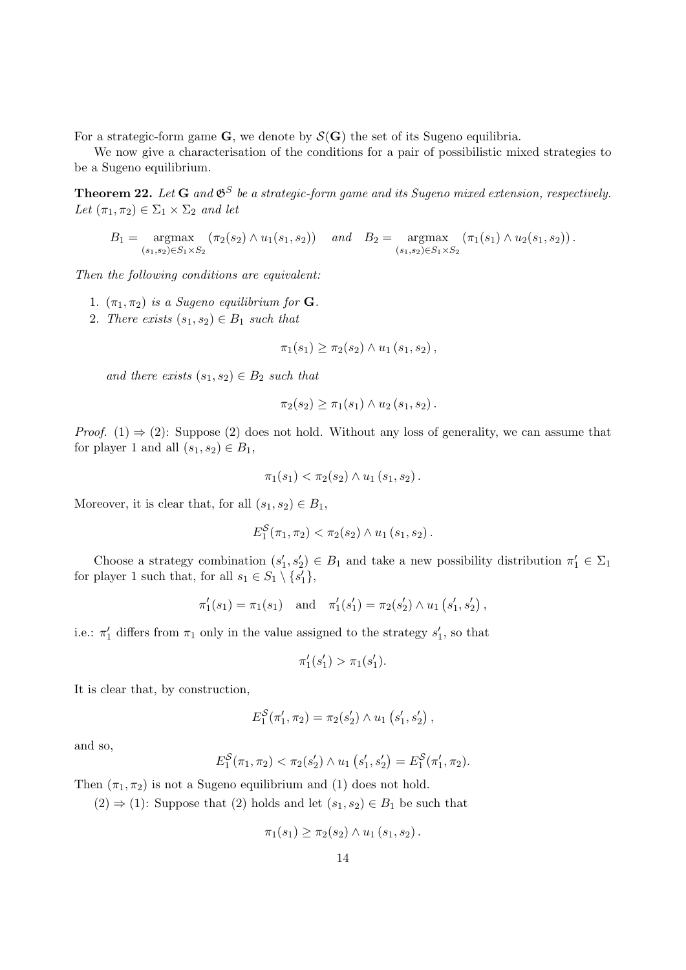For a strategic-form game **G**, we denote by  $S(G)$  the set of its Sugeno equilibria.

We now give a characterisation of the conditions for a pair of possibilistic mixed strategies to be a Sugeno equilibrium.

**Theorem 22.** Let **G** and  $\mathfrak{G}^S$  be a strategic-form game and its Sugeno mixed extension, respectively. Let  $(\pi_1, \pi_2) \in \Sigma_1 \times \Sigma_2$  and let

$$
B_1 = \underset{(s_1, s_2) \in S_1 \times S_2}{\text{argmax}} (\pi_2(s_2) \land u_1(s_1, s_2)) \quad \text{and} \quad B_2 = \underset{(s_1, s_2) \in S_1 \times S_2}{\text{argmax}} (\pi_1(s_1) \land u_2(s_1, s_2)).
$$

Then the following conditions are equivalent:

- 1.  $(\pi_1, \pi_2)$  is a Sugeno equilibrium for **G**.
- 2. There exists  $(s_1, s_2) \in B_1$  such that

$$
\pi_1(s_1) \geq \pi_2(s_2) \wedge u_1(s_1, s_2),
$$

and there exists  $(s_1, s_2) \in B_2$  such that

$$
\pi_2(s_2) \ge \pi_1(s_1) \wedge u_2(s_1, s_2).
$$

*Proof.* (1)  $\Rightarrow$  (2): Suppose (2) does not hold. Without any loss of generality, we can assume that for player 1 and all  $(s_1, s_2) \in B_1$ ,

$$
\pi_1(s_1) < \pi_2(s_2) \wedge u_1(s_1, s_2).
$$

Moreover, it is clear that, for all  $(s_1, s_2) \in B_1$ ,

$$
E_1^{\mathcal{S}}(\pi_1,\pi_2) < \pi_2(s_2) \wedge u_1(s_1,s_2).
$$

Choose a strategy combination  $(s'_1, s'_2) \in B_1$  and take a new possibility distribution  $\pi'_1 \in \Sigma_1$ for player 1 such that, for all  $s_1 \in S_1 \setminus \{s'_1\},\$ 

$$
\pi'_1(s_1) = \pi_1(s_1)
$$
 and  $\pi'_1(s'_1) = \pi_2(s'_2) \wedge u_1(s'_1, s'_2)$ ,

i.e.:  $\pi'_1$  differs from  $\pi_1$  only in the value assigned to the strategy  $s'_1$ , so that

$$
\pi_1'(s_1') > \pi_1(s_1').
$$

It is clear that, by construction,

$$
E_1^{\mathcal{S}}(\pi'_1, \pi_2) = \pi_2(s'_2) \wedge u_1(s'_1, s'_2),
$$

and so,

$$
E_1^{\mathcal{S}}(\pi_1, \pi_2) < \pi_2(s_2') \land u_1(s_1', s_2') = E_1^{\mathcal{S}}(\pi_1', \pi_2).
$$

Then  $(\pi_1, \pi_2)$  is not a Sugeno equilibrium and (1) does not hold.

 $(2) \Rightarrow (1)$ : Suppose that  $(2)$  holds and let  $(s_1, s_2) \in B_1$  be such that

$$
\pi_1(s_1) \geq \pi_2(s_2) \wedge u_1(s_1, s_2).
$$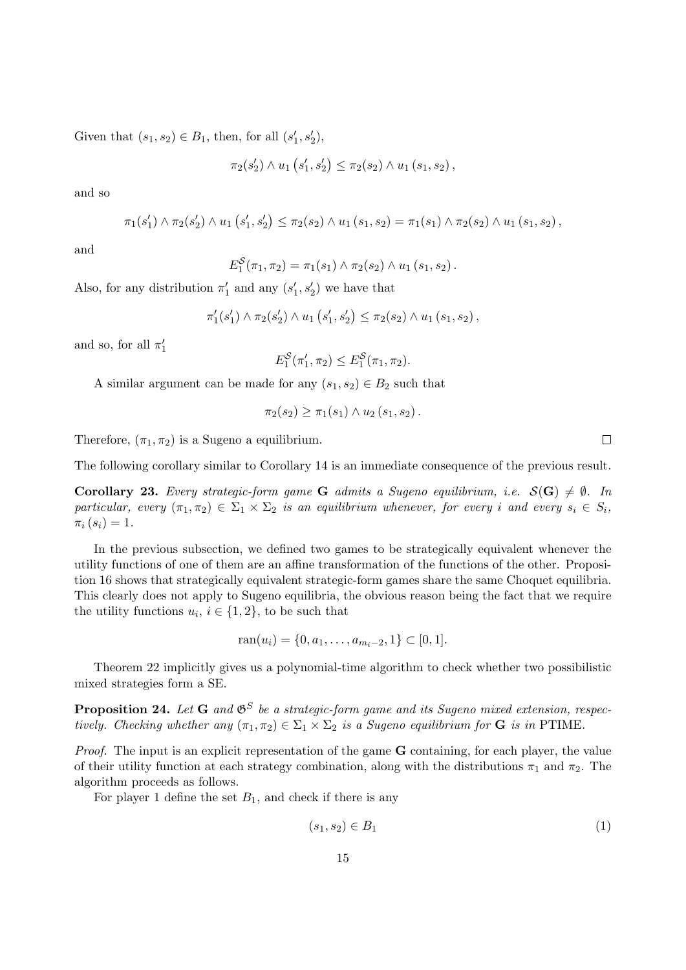Given that  $(s_1, s_2) \in B_1$ , then, for all  $(s'_1, s'_2)$ ,

$$
\pi_2(s'_2) \wedge u_1(s'_1, s'_2) \leq \pi_2(s_2) \wedge u_1(s_1, s_2),
$$

and so

$$
\pi_1(s'_1) \wedge \pi_2(s'_2) \wedge u_1(s'_1, s'_2) \leq \pi_2(s_2) \wedge u_1(s_1, s_2) = \pi_1(s_1) \wedge \pi_2(s_2) \wedge u_1(s_1, s_2),
$$

and

$$
E_1^{\mathcal{S}}(\pi_1, \pi_2) = \pi_1(s_1) \wedge \pi_2(s_2) \wedge u_1(s_1, s_2).
$$

Also, for any distribution  $\pi'_1$  and any  $(s'_1, s'_2)$  we have that

$$
\pi'_1(s'_1) \wedge \pi_2(s'_2) \wedge u_1(s'_1, s'_2) \leq \pi_2(s_2) \wedge u_1(s_1, s_2),
$$

and so, for all  $\pi_1'$ 

$$
E_1^{\mathcal{S}}(\pi'_1, \pi_2) \le E_1^{\mathcal{S}}(\pi_1, \pi_2).
$$

A similar argument can be made for any  $(s_1, s_2) \in B_2$  such that

$$
\pi_2(s_2) \geq \pi_1(s_1) \wedge u_2(s_1, s_2).
$$

Therefore,  $(\pi_1, \pi_2)$  is a Sugeno a equilibrium.

The following corollary similar to Corollary 14 is an immediate consequence of the previous result.

Corollary 23. Every strategic-form game G admits a Sugeno equilibrium, i.e.  $\mathcal{S}(G) \neq \emptyset$ . In particular, every  $(\pi_1, \pi_2) \in \Sigma_1 \times \Sigma_2$  is an equilibrium whenever, for every i and every  $s_i \in S_i$ ,  $\pi_i(s_i) = 1.$ 

In the previous subsection, we defined two games to be strategically equivalent whenever the utility functions of one of them are an affine transformation of the functions of the other. Proposition 16 shows that strategically equivalent strategic-form games share the same Choquet equilibria. This clearly does not apply to Sugeno equilibria, the obvious reason being the fact that we require the utility functions  $u_i, i \in \{1, 2\}$ , to be such that

$$
\text{ran}(u_i) = \{0, a_1, \dots, a_{m_i-2}, 1\} \subset [0, 1].
$$

Theorem 22 implicitly gives us a polynomial-time algorithm to check whether two possibilistic mixed strategies form a SE.

**Proposition 24.** Let G and  $\mathfrak{G}^S$  be a strategic-form game and its Sugeno mixed extension, respectively. Checking whether any  $(\pi_1, \pi_2) \in \Sigma_1 \times \Sigma_2$  is a Sugeno equilibrium for **G** is in PTIME.

Proof. The input is an explicit representation of the game **G** containing, for each player, the value of their utility function at each strategy combination, along with the distributions  $\pi_1$  and  $\pi_2$ . The algorithm proceeds as follows.

For player 1 define the set  $B_1$ , and check if there is any

$$
(s_1, s_2) \in B_1 \tag{1}
$$

 $\Box$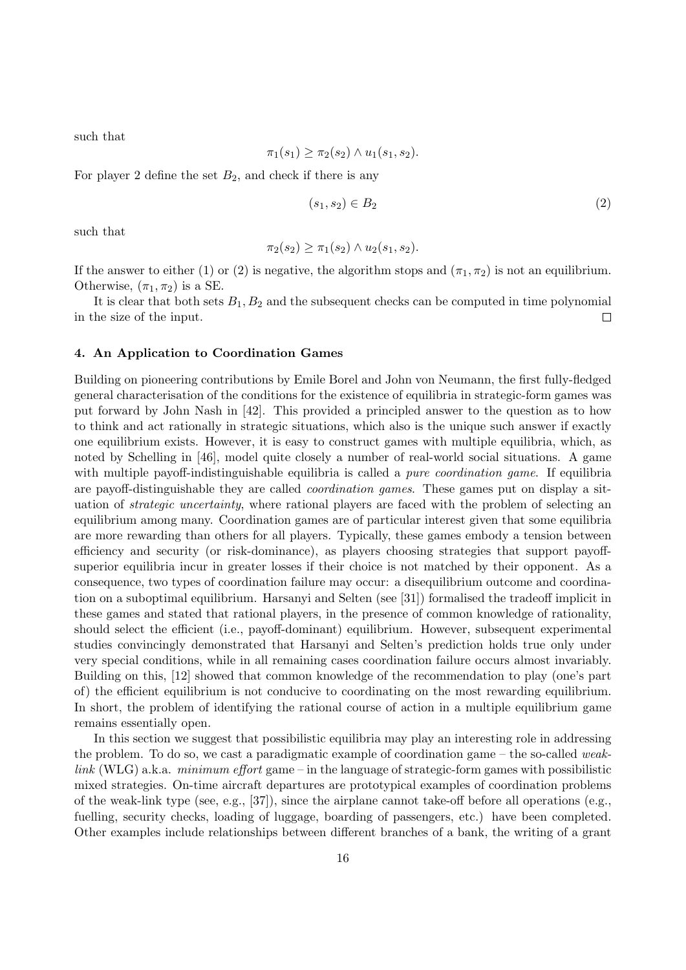such that

$$
\pi_1(s_1) \ge \pi_2(s_2) \wedge u_1(s_1, s_2).
$$

For player 2 define the set  $B_2$ , and check if there is any

$$
(s_1, s_2) \in B_2 \tag{2}
$$

such that

$$
\pi_2(s_2) \geq \pi_1(s_2) \wedge u_2(s_1, s_2).
$$

If the answer to either (1) or (2) is negative, the algorithm stops and  $(\pi_1, \pi_2)$  is not an equilibrium. Otherwise,  $(\pi_1, \pi_2)$  is a SE.

It is clear that both sets  $B_1, B_2$  and the subsequent checks can be computed in time polynomial in the size of the input. П

## 4. An Application to Coordination Games

Building on pioneering contributions by Emile Borel and John von Neumann, the first fully-fledged general characterisation of the conditions for the existence of equilibria in strategic-form games was put forward by John Nash in [42]. This provided a principled answer to the question as to how to think and act rationally in strategic situations, which also is the unique such answer if exactly one equilibrium exists. However, it is easy to construct games with multiple equilibria, which, as noted by Schelling in [46], model quite closely a number of real-world social situations. A game with multiple payoff-indistinguishable equilibria is called a *pure coordination game*. If equilibria are payoff-distinguishable they are called coordination games. These games put on display a situation of strategic uncertainty, where rational players are faced with the problem of selecting an equilibrium among many. Coordination games are of particular interest given that some equilibria are more rewarding than others for all players. Typically, these games embody a tension between efficiency and security (or risk-dominance), as players choosing strategies that support payoffsuperior equilibria incur in greater losses if their choice is not matched by their opponent. As a consequence, two types of coordination failure may occur: a disequilibrium outcome and coordination on a suboptimal equilibrium. Harsanyi and Selten (see [31]) formalised the tradeoff implicit in these games and stated that rational players, in the presence of common knowledge of rationality, should select the efficient (i.e., payoff-dominant) equilibrium. However, subsequent experimental studies convincingly demonstrated that Harsanyi and Selten's prediction holds true only under very special conditions, while in all remaining cases coordination failure occurs almost invariably. Building on this, [12] showed that common knowledge of the recommendation to play (one's part of) the efficient equilibrium is not conducive to coordinating on the most rewarding equilibrium. In short, the problem of identifying the rational course of action in a multiple equilibrium game remains essentially open.

In this section we suggest that possibilistic equilibria may play an interesting role in addressing the problem. To do so, we cast a paradigmatic example of coordination game – the so-called *weak*link (WLG) a.k.a. minimum effort game – in the language of strategic-form games with possibilistic mixed strategies. On-time aircraft departures are prototypical examples of coordination problems of the weak-link type (see, e.g.,  $[37]$ ), since the airplane cannot take-off before all operations (e.g., fuelling, security checks, loading of luggage, boarding of passengers, etc.) have been completed. Other examples include relationships between different branches of a bank, the writing of a grant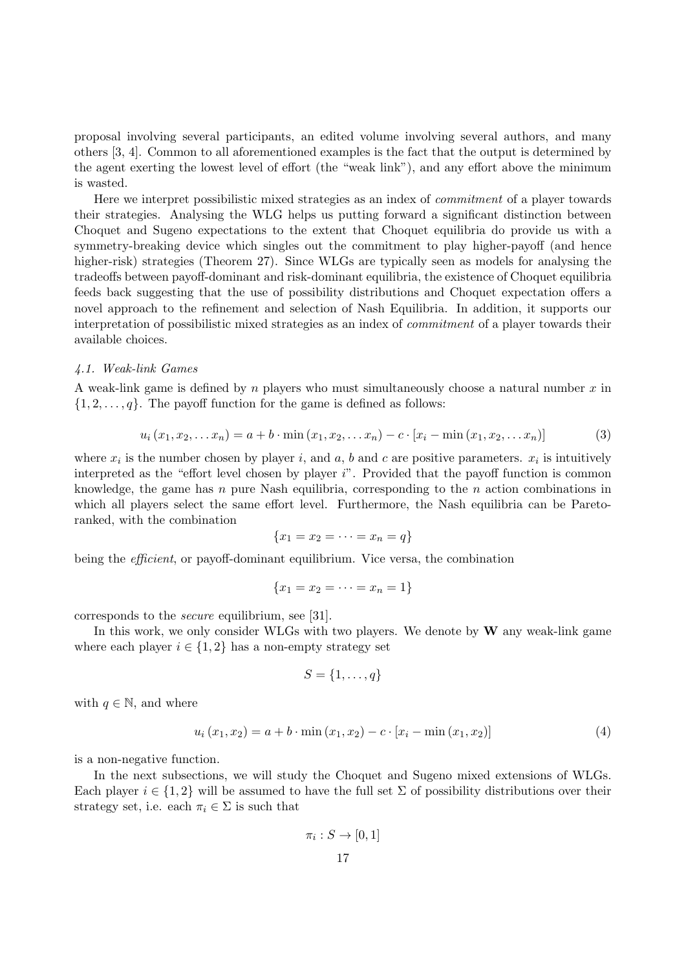proposal involving several participants, an edited volume involving several authors, and many others [3, 4]. Common to all aforementioned examples is the fact that the output is determined by the agent exerting the lowest level of effort (the "weak link"), and any effort above the minimum is wasted.

Here we interpret possibilistic mixed strategies as an index of commitment of a player towards their strategies. Analysing the WLG helps us putting forward a significant distinction between Choquet and Sugeno expectations to the extent that Choquet equilibria do provide us with a symmetry-breaking device which singles out the commitment to play higher-payoff (and hence higher-risk) strategies (Theorem 27). Since WLGs are typically seen as models for analysing the tradeoffs between payoff-dominant and risk-dominant equilibria, the existence of Choquet equilibria feeds back suggesting that the use of possibility distributions and Choquet expectation offers a novel approach to the refinement and selection of Nash Equilibria. In addition, it supports our interpretation of possibilistic mixed strategies as an index of commitment of a player towards their available choices.

#### 4.1. Weak-link Games

A weak-link game is defined by n players who must simultaneously choose a natural number  $x$  in  $\{1, 2, \ldots, q\}$ . The payoff function for the game is defined as follows:

$$
u_i(x_1, x_2,... x_n) = a + b \cdot \min(x_1, x_2,... x_n) - c \cdot [x_i - \min(x_1, x_2,... x_n)] \tag{3}
$$

where  $x_i$  is the number chosen by player i, and a, b and c are positive parameters.  $x_i$  is intuitively interpreted as the "effort level chosen by player i". Provided that the payoff function is common knowledge, the game has  $n$  pure Nash equilibria, corresponding to the  $n$  action combinations in which all players select the same effort level. Furthermore, the Nash equilibria can be Paretoranked, with the combination

$$
\{x_1 = x_2 = \dots = x_n = q\}
$$

being the efficient, or payoff-dominant equilibrium. Vice versa, the combination

$$
\{x_1 = x_2 = \cdots = x_n = 1\}
$$

corresponds to the secure equilibrium, see [31].

In this work, we only consider WLGs with two players. We denote by  $W$  any weak-link game where each player  $i \in \{1,2\}$  has a non-empty strategy set

$$
S = \{1, \ldots, q\}
$$

with  $q \in \mathbb{N}$ , and where

$$
u_i(x_1, x_2) = a + b \cdot \min(x_1, x_2) - c \cdot [x_i - \min(x_1, x_2)] \tag{4}
$$

is a non-negative function.

In the next subsections, we will study the Choquet and Sugeno mixed extensions of WLGs. Each player  $i \in \{1,2\}$  will be assumed to have the full set  $\Sigma$  of possibility distributions over their strategy set, i.e. each  $\pi_i \in \Sigma$  is such that

 $\pi_i: S \to [0,1]$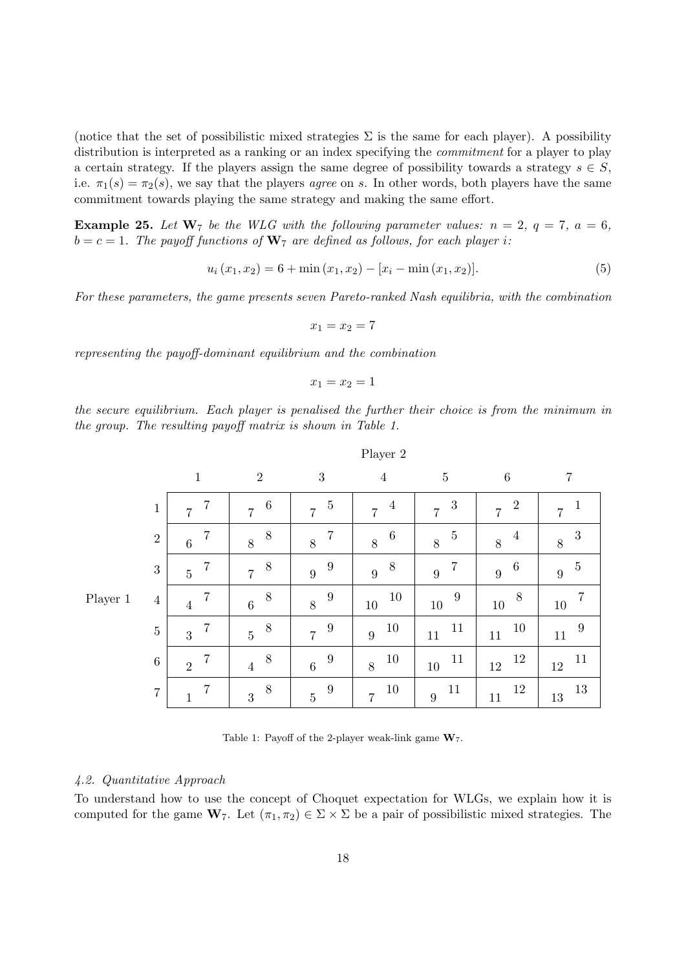(notice that the set of possibilistic mixed strategies  $\Sigma$  is the same for each player). A possibility distribution is interpreted as a ranking or an index specifying the *commitment* for a player to play a certain strategy. If the players assign the same degree of possibility towards a strategy  $s \in S$ , i.e.  $\pi_1(s) = \pi_2(s)$ , we say that the players *agree* on s. In other words, both players have the same commitment towards playing the same strategy and making the same effort.

**Example 25.** Let  $W_7$  be the WLG with the following parameter values:  $n = 2$ ,  $q = 7$ ,  $a = 6$ ,  $b = c = 1$ . The payoff functions of  $W<sub>7</sub>$  are defined as follows, for each player i:

$$
u_i(x_1, x_2) = 6 + \min(x_1, x_2) - [x_i - \min(x_1, x_2)].
$$
\n(5)

For these parameters, the game presents seven Pareto-ranked Nash equilibria, with the combination

 $x_1 = x_2 = 7$ 

representing the payoff-dominant equilibrium and the combination

$$
x_1=x_2=1
$$

the secure equilibrium. Each player is penalised the further their choice is from the minimum in the group. The resulting payoff matrix is shown in Table 1.

|          |                  | Player 2                         |                                    |                                  |                                  |                                    |                                    |                                |
|----------|------------------|----------------------------------|------------------------------------|----------------------------------|----------------------------------|------------------------------------|------------------------------------|--------------------------------|
|          |                  | $\mathbf{1}$                     | $\boldsymbol{2}$                   | 3                                | $\overline{4}$                   | $\bf 5$                            | $\,6\,$                            | $\overline{7}$                 |
| Player 1 | $\mathbf{1}$     | $\overline{7}$<br>$\overline{7}$ | $\boldsymbol{6}$<br>$\overline{7}$ | $\overline{5}$<br>$\overline{7}$ | $\overline{4}$<br>$\overline{7}$ | $\boldsymbol{3}$<br>$\overline{7}$ | $\boldsymbol{2}$<br>$\overline{7}$ | $\mathbf{1}$<br>$\overline{7}$ |
|          | $\sqrt{2}$       | $\overline{7}$<br>$\,6\,$        | 8<br>8                             | $\overline{7}$<br>8              | $\,6\,$<br>8                     | $\overline{5}$<br>8                | $\sqrt{4}$<br>$\,8\,$              | $\boldsymbol{3}$<br>8          |
|          | $\boldsymbol{3}$ | $\overline{7}$<br>$\bf 5$        | 8<br>$\overline{7}$                | 9<br>$\overline{9}$              | $8\,$<br>$\overline{9}$          | $\overline{7}$<br>$\boldsymbol{9}$ | $\,6\,$<br>$\boldsymbol{9}$        | $5\,$<br>9                     |
|          | $\,4\,$          | $\overline{7}$<br>$\sqrt{4}$     | 8<br>$\sqrt{6}$                    | 9<br>$\,8\,$                     | $10\,$<br>$10\,$                 | 9<br>$10\,$                        | 8<br>$10\,$                        | $10\,$                         |
|          | $\bf 5$          | $\,7$<br>3                       | 8<br>$\overline{5}$                | 9<br>$\overline{7}$              | $10\,$<br>$\overline{9}$         | 11<br>11                           | $10\,$<br>11                       | 9<br>11                        |
|          | $\,6\,$          | $\overline{7}$<br>$\overline{2}$ | 8<br>$\overline{4}$                | 9<br>$\sqrt{6}$                  | $10\,$<br>8                      | 11<br>$10\,$                       | $12\,$<br>12                       | 11<br>12                       |
|          | $\,7$            | 7<br>$\mathbf{1}$<br>л.          | $8\phantom{1}$<br>3                | 9<br>$\overline{5}$              | $10\,$<br>$\overline{7}$         | 11<br>$\overline{9}$               | 12<br>11                           | 13<br>13                       |

Table 1: Payoff of the 2-player weak-link game  $W_7$ .

# 4.2. Quantitative Approach

To understand how to use the concept of Choquet expectation for WLGs, we explain how it is computed for the game  $\mathbf{W}_7$ . Let  $(\pi_1, \pi_2) \in \Sigma \times \Sigma$  be a pair of possibilistic mixed strategies. The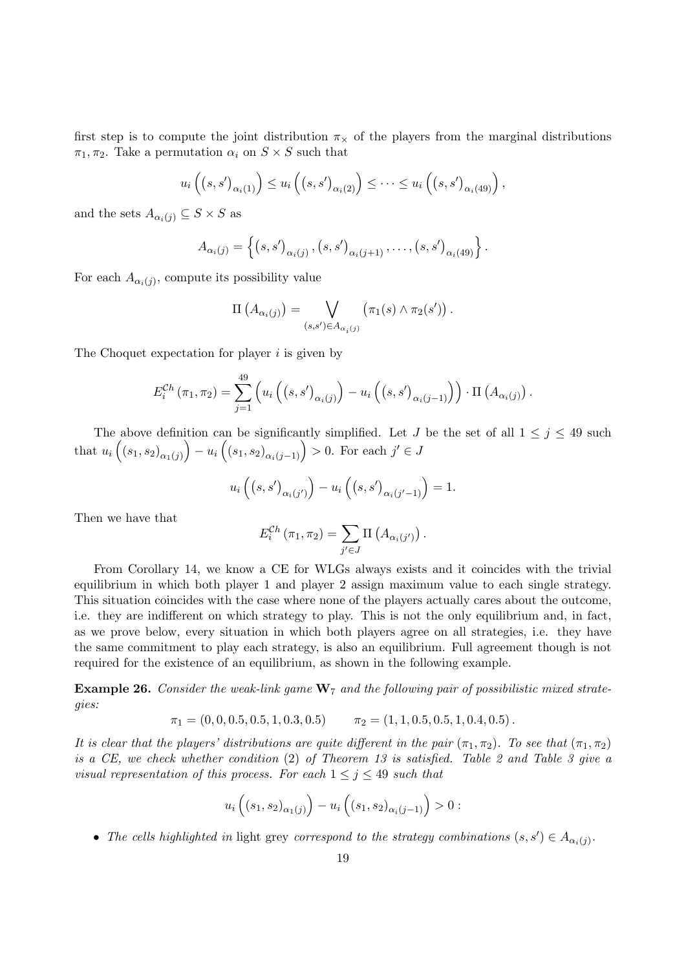first step is to compute the joint distribution  $\pi$ <sub>x</sub> of the players from the marginal distributions  $\pi_1, \pi_2$ . Take a permutation  $\alpha_i$  on  $S \times S$  such that

$$
u_i\left(\left(s,s'\right)_{\alpha_i(1)}\right)\leq u_i\left(\left(s,s'\right)_{\alpha_i(2)}\right)\leq \cdots \leq u_i\left(\left(s,s'\right)_{\alpha_i(49)}\right),
$$

and the sets  $A_{\alpha_i(j)} \subseteq S \times S$  as

$$
A_{\alpha_i(j)} = \left\{ (s, s')_{\alpha_i(j)}, (s, s')_{\alpha_i(j+1)}, \dots, (s, s')_{\alpha_i(49)} \right\}.
$$

For each  $A_{\alpha_i(j)}$ , compute its possibility value

$$
\Pi\left(A_{\alpha_i(j)}\right) = \bigvee_{(s,s')\in A_{\alpha_i(j)}} \left(\pi_1(s) \land \pi_2(s')\right).
$$

The Choquet expectation for player  $i$  is given by

$$
E_i^{Ch}(\pi_1, \pi_2) = \sum_{j=1}^{49} \left( u_i \left( (s, s')_{\alpha_i(j)} \right) - u_i \left( (s, s')_{\alpha_i(j-1)} \right) \right) \cdot \Pi \left( A_{\alpha_i(j)} \right).
$$

The above definition can be significantly simplified. Let J be the set of all  $1 \leq j \leq 49$  such that  $u_i\left( (s_1, s_2)_{\alpha_1(j)} \right) - u_i\left( (s_1, s_2)_{\alpha_i(j-1)} \right) > 0$ . For each  $j' \in J$ 

$$
u_i\left(\left(s,s'\right)_{\alpha_i(j')}\right) - u_i\left(\left(s,s'\right)_{\alpha_i(j'-1)}\right) = 1.
$$

Then we have that

$$
E_i^{\mathcal{C}h}(\pi_1, \pi_2) = \sum_{j' \in J} \Pi\left(A_{\alpha_i(j')}\right).
$$

From Corollary 14, we know a CE for WLGs always exists and it coincides with the trivial equilibrium in which both player 1 and player 2 assign maximum value to each single strategy. This situation coincides with the case where none of the players actually cares about the outcome, i.e. they are indifferent on which strategy to play. This is not the only equilibrium and, in fact, as we prove below, every situation in which both players agree on all strategies, i.e. they have the same commitment to play each strategy, is also an equilibrium. Full agreement though is not required for the existence of an equilibrium, as shown in the following example.

**Example 26.** Consider the weak-link game  $W_7$  and the following pair of possibilistic mixed strategies:

$$
\pi_1 = (0, 0, 0.5, 0.5, 1, 0.3, 0.5) \qquad \pi_2 = (1, 1, 0.5, 0.5, 1, 0.4, 0.5).
$$

It is clear that the players' distributions are quite different in the pair  $(\pi_1, \pi_2)$ . To see that  $(\pi_1, \pi_2)$ is a CE, we check whether condition (2) of Theorem 13 is satisfied. Table 2 and Table 3 give a visual representation of this process. For each  $1 \leq j \leq 49$  such that

$$
u_i((s_1, s_2)_{\alpha_1(j)}) - u_i((s_1, s_2)_{\alpha_i(j-1)}) > 0:
$$

• The cells highlighted in light grey correspond to the strategy combinations  $(s, s') \in A_{\alpha_i(j)}$ .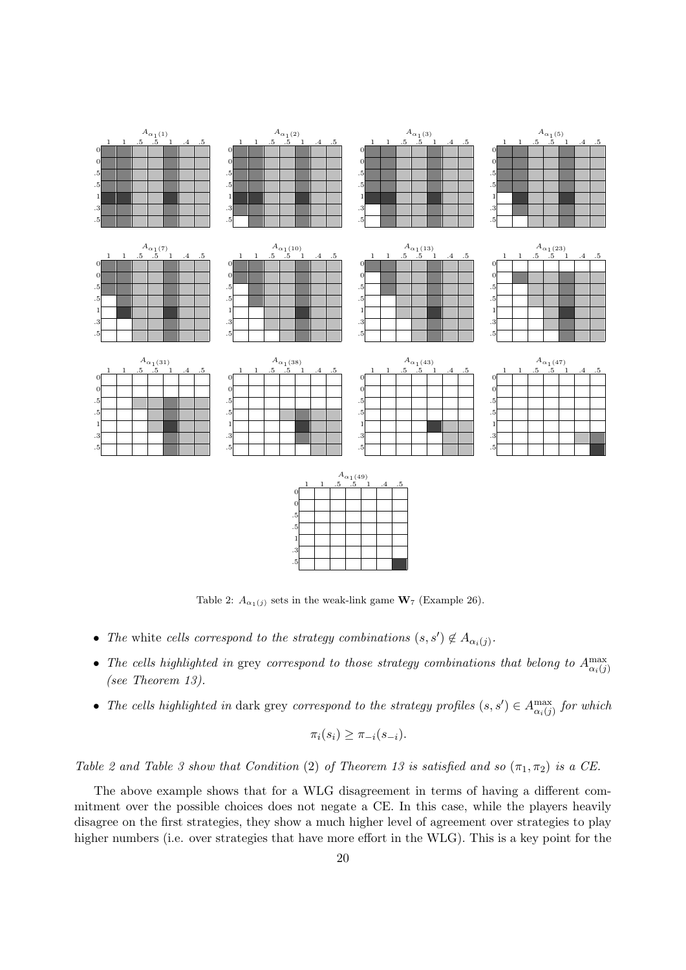

Table 2:  $A_{\alpha_1(j)}$  sets in the weak-link game  $\mathbf{W}_7$  (Example 26).

- The white cells correspond to the strategy combinations  $(s, s') \notin A_{\alpha_i(j)}$ .
- The cells highlighted in grey correspond to those strategy combinations that belong to  $A_{\alpha_i(j)}^{\text{max}}$ (see Theorem 13).
- The cells highlighted in dark grey correspond to the strategy profiles  $(s, s') \in A_{\alpha_i(j)}^{\max}$  for which

$$
\pi_i(s_i) \geq \pi_{-i}(s_{-i}).
$$

Table 2 and Table 3 show that Condition (2) of Theorem 13 is satisfied and so  $(\pi_1, \pi_2)$  is a CE.

The above example shows that for a WLG disagreement in terms of having a different commitment over the possible choices does not negate a CE. In this case, while the players heavily disagree on the first strategies, they show a much higher level of agreement over strategies to play higher numbers (i.e. over strategies that have more effort in the WLG). This is a key point for the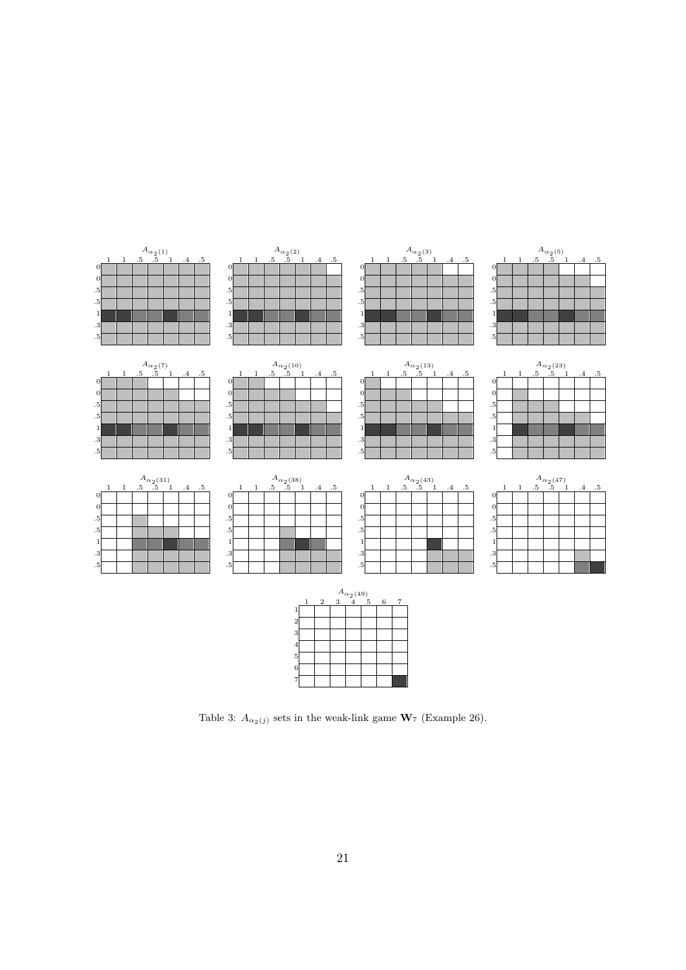

Table 3:  $A_{\alpha_2(j)}$  sets in the weak-link game  $\mathbf{W}_7$  (Example 26).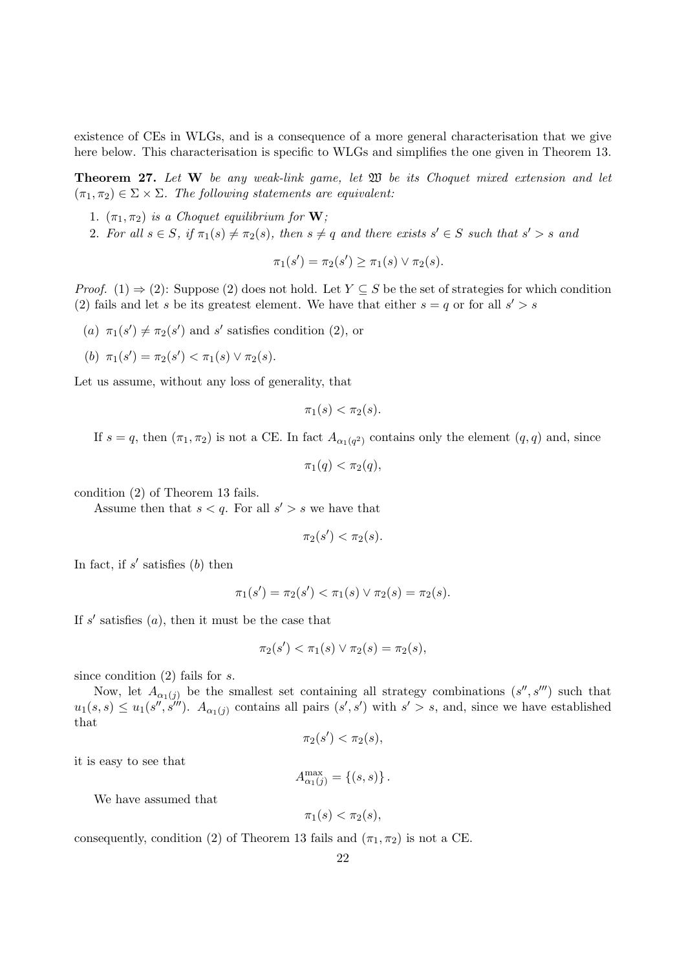existence of CEs in WLGs, and is a consequence of a more general characterisation that we give here below. This characterisation is specific to WLGs and simplifies the one given in Theorem 13.

Theorem 27. Let W be any weak-link game, let  $\mathfrak W$  be its Choquet mixed extension and let  $(\pi_1, \pi_2) \in \Sigma \times \Sigma$ . The following statements are equivalent:

- 1.  $(\pi_1, \pi_2)$  is a Choquet equilibrium for **W**;
- 2. For all  $s \in S$ , if  $\pi_1(s) \neq \pi_2(s)$ , then  $s \neq q$  and there exists  $s' \in S$  such that  $s' > s$  and

$$
\pi_1(s') = \pi_2(s') \ge \pi_1(s) \vee \pi_2(s).
$$

*Proof.* (1)  $\Rightarrow$  (2): Suppose (2) does not hold. Let  $Y \subseteq S$  be the set of strategies for which condition (2) fails and let s be its greatest element. We have that either  $s = q$  or for all  $s' > s$ 

- (a)  $\pi_1(s') \neq \pi_2(s')$  and s' satisfies condition (2), or
- (b)  $\pi_1(s') = \pi_2(s') < \pi_1(s) \vee \pi_2(s)$ .

Let us assume, without any loss of generality, that

$$
\pi_1(s) < \pi_2(s).
$$

If  $s = q$ , then  $(\pi_1, \pi_2)$  is not a CE. In fact  $A_{\alpha_1(q^2)}$  contains only the element  $(q, q)$  and, since

$$
\pi_1(q) < \pi_2(q),
$$

condition (2) of Theorem 13 fails.

Assume then that  $s < q$ . For all  $s' > s$  we have that

$$
\pi_2(s') < \pi_2(s).
$$

In fact, if  $s'$  satisfies  $(b)$  then

$$
\pi_1(s') = \pi_2(s') < \pi_1(s) \vee \pi_2(s) = \pi_2(s).
$$

If  $s'$  satisfies  $(a)$ , then it must be the case that

$$
\pi_2(s') < \pi_1(s) \lor \pi_2(s) = \pi_2(s),
$$

since condition (2) fails for s.

Now, let  $A_{\alpha_1(j)}$  be the smallest set containing all strategy combinations  $(s'', s''')$  such that  $u_1(s,s) \leq u_1(s'',\tilde{s}''')$ .  $A_{\alpha_1(j)}$  contains all pairs  $(s',s')$  with  $s' > s$ , and, since we have established that

$$
\pi_2(s') < \pi_2(s),
$$

it is easy to see that

$$
A_{\alpha_1(j)}^{\max} = \{(s, s)\}.
$$

We have assumed that

$$
\pi_1(s) < \pi_2(s),
$$

consequently, condition (2) of Theorem 13 fails and  $(\pi_1, \pi_2)$  is not a CE.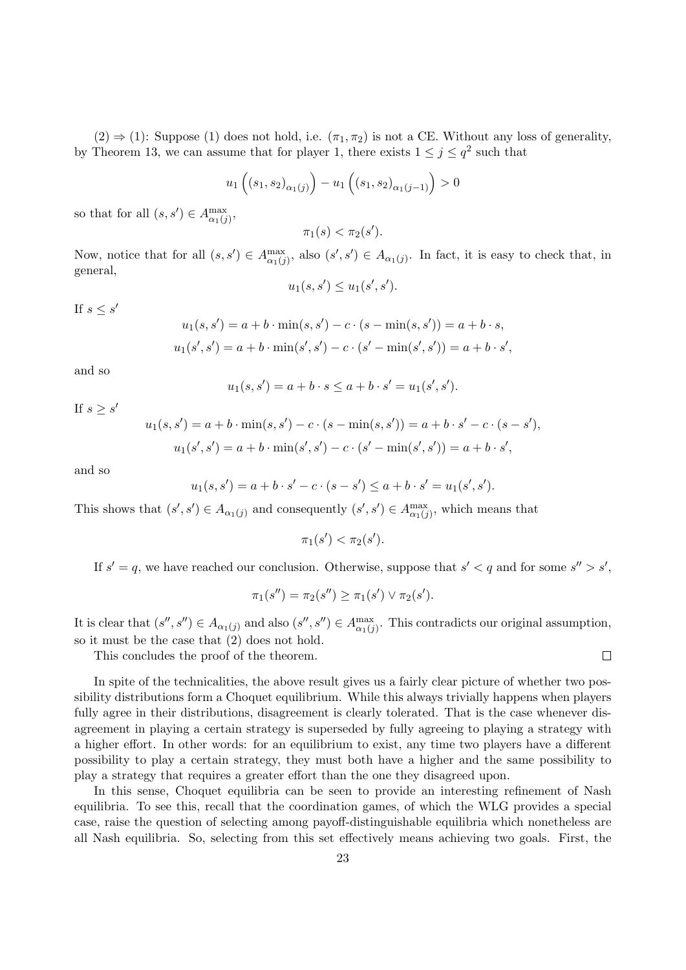$(2) \Rightarrow (1)$ : Suppose (1) does not hold, i.e.  $(\pi_1, \pi_2)$  is not a CE. Without any loss of generality, by Theorem 13, we can assume that for player 1, there exists  $1 \leq j \leq q^2$  such that

$$
u_1((s_1, s_2)_{\alpha_1(j)}) - u_1((s_1, s_2)_{\alpha_1(j-1)}) > 0
$$

so that for all  $(s, s') \in A_{\alpha_1(j)}^{\max}$ ,

$$
\pi_1(s) < \pi_2(s').
$$

Now, notice that for all  $(s, s') \in A_{\alpha_1(j)}^{\max}$ , also  $(s', s') \in A_{\alpha_1(j)}$ . In fact, it is easy to check that, in general,

$$
u_1(s,s') \le u_1(s',s').
$$

If  $s \leq s'$ 

$$
u_1(s, s') = a + b \cdot \min(s, s') - c \cdot (s - \min(s, s')) = a + b \cdot s,
$$
  

$$
u_1(s', s') = a + b \cdot \min(s', s') - c \cdot (s' - \min(s', s')) = a + b \cdot s',
$$

and so

$$
u_1(s, s') = a + b \cdot s \le a + b \cdot s' = u_1(s', s').
$$

If  $s \geq s'$ 

$$
u_1(s, s') = a + b \cdot \min(s, s') - c \cdot (s - \min(s, s')) = a + b \cdot s' - c \cdot (s - s'),
$$
  

$$
u_1(s', s') = a + b \cdot \min(s', s') - c \cdot (s' - \min(s', s')) = a + b \cdot s',
$$

and so

$$
u_1(s, s') = a + b \cdot s' - c \cdot (s - s') \le a + b \cdot s' = u_1(s', s').
$$

This shows that  $(s', s') \in A_{\alpha_1(j)}$  and consequently  $(s', s') \in A_{\alpha_1(j)}^{\max}$ , which means that

 $\pi_1(s') < \pi_2(s')$ .

If  $s' = q$ , we have reached our conclusion. Otherwise, suppose that  $s' < q$  and for some  $s'' > s'$ ,

$$
\pi_1(s'') = \pi_2(s'') \ge \pi_1(s') \vee \pi_2(s').
$$

It is clear that  $(s'', s'') \in A_{\alpha_1(j)}$  and also  $(s'', s'') \in A_{\alpha_1(j)}^{\max}$ . This contradicts our original assumption, so it must be the case that (2) does not hold.

This concludes the proof of the theorem.

 $\Box$ 

In spite of the technicalities, the above result gives us a fairly clear picture of whether two possibility distributions form a Choquet equilibrium. While this always trivially happens when players fully agree in their distributions, disagreement is clearly tolerated. That is the case whenever disagreement in playing a certain strategy is superseded by fully agreeing to playing a strategy with a higher effort. In other words: for an equilibrium to exist, any time two players have a different possibility to play a certain strategy, they must both have a higher and the same possibility to play a strategy that requires a greater effort than the one they disagreed upon.

In this sense, Choquet equilibria can be seen to provide an interesting refinement of Nash equilibria. To see this, recall that the coordination games, of which the WLG provides a special case, raise the question of selecting among payoff-distinguishable equilibria which nonetheless are all Nash equilibria. So, selecting from this set effectively means achieving two goals. First, the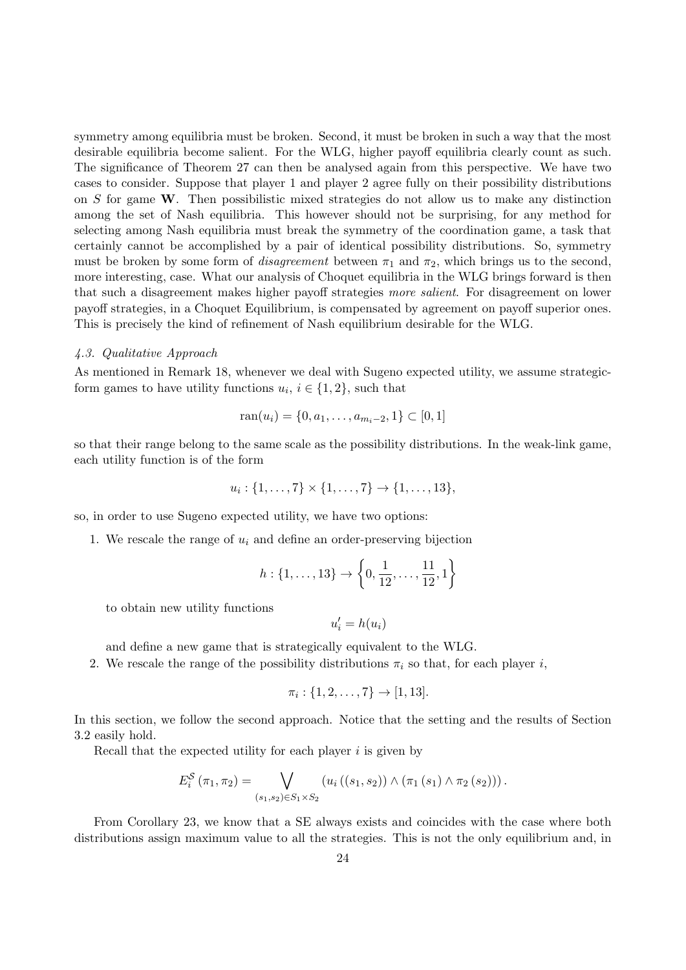symmetry among equilibria must be broken. Second, it must be broken in such a way that the most desirable equilibria become salient. For the WLG, higher payoff equilibria clearly count as such. The significance of Theorem 27 can then be analysed again from this perspective. We have two cases to consider. Suppose that player 1 and player 2 agree fully on their possibility distributions on S for game W. Then possibilistic mixed strategies do not allow us to make any distinction among the set of Nash equilibria. This however should not be surprising, for any method for selecting among Nash equilibria must break the symmetry of the coordination game, a task that certainly cannot be accomplished by a pair of identical possibility distributions. So, symmetry must be broken by some form of *disagreement* between  $\pi_1$  and  $\pi_2$ , which brings us to the second, more interesting, case. What our analysis of Choquet equilibria in the WLG brings forward is then that such a disagreement makes higher payoff strategies more salient. For disagreement on lower payoff strategies, in a Choquet Equilibrium, is compensated by agreement on payoff superior ones. This is precisely the kind of refinement of Nash equilibrium desirable for the WLG.

#### 4.3. Qualitative Approach

As mentioned in Remark 18, whenever we deal with Sugeno expected utility, we assume strategicform games to have utility functions  $u_i, i \in \{1, 2\}$ , such that

$$
\text{ran}(u_i) = \{0, a_1, \dots, a_{m_i-2}, 1\} \subset [0, 1]
$$

so that their range belong to the same scale as the possibility distributions. In the weak-link game, each utility function is of the form

$$
u_i: \{1, \ldots, 7\} \times \{1, \ldots, 7\} \to \{1, \ldots, 13\},\
$$

so, in order to use Sugeno expected utility, we have two options:

1. We rescale the range of  $u_i$  and define an order-preserving bijection

$$
h: \{1, \ldots, 13\} \to \left\{0, \frac{1}{12}, \ldots, \frac{11}{12}, 1\right\}
$$

to obtain new utility functions

$$
u_i' = h(u_i)
$$

and define a new game that is strategically equivalent to the WLG.

2. We rescale the range of the possibility distributions  $\pi_i$  so that, for each player i,

$$
\pi_i: \{1, 2, \ldots, 7\} \to [1, 13].
$$

In this section, we follow the second approach. Notice that the setting and the results of Section 3.2 easily hold.

Recall that the expected utility for each player  $i$  is given by

$$
E_i^{\mathcal{S}}(\pi_1, \pi_2) = \bigvee_{(s_1, s_2) \in S_1 \times S_2} (u_i((s_1, s_2)) \wedge (\pi_1(s_1) \wedge \pi_2(s_2))).
$$

From Corollary 23, we know that a SE always exists and coincides with the case where both distributions assign maximum value to all the strategies. This is not the only equilibrium and, in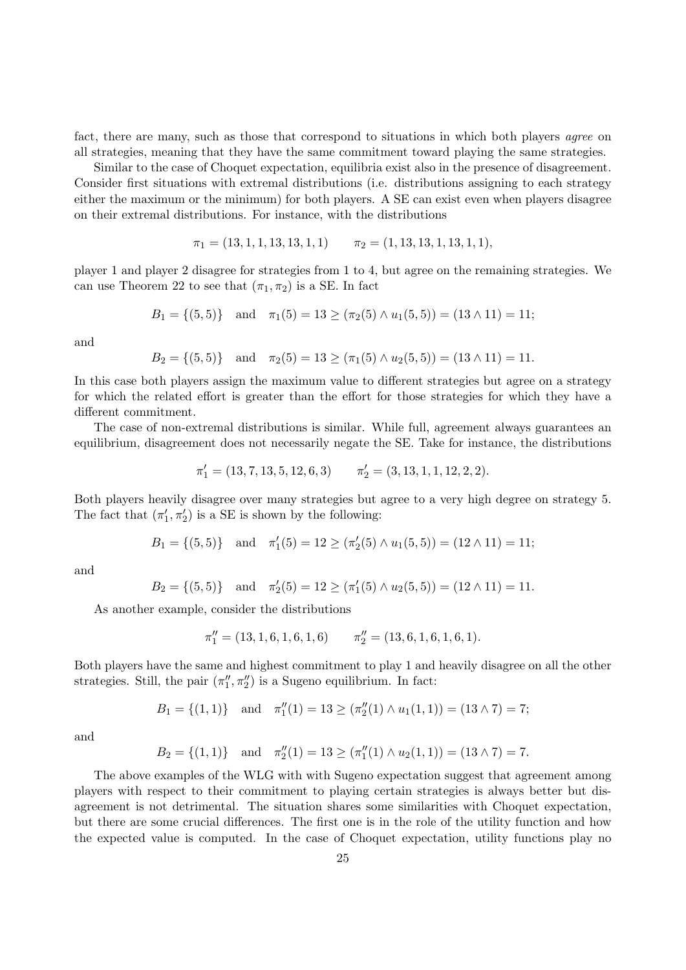fact, there are many, such as those that correspond to situations in which both players *agree* on all strategies, meaning that they have the same commitment toward playing the same strategies.

Similar to the case of Choquet expectation, equilibria exist also in the presence of disagreement. Consider first situations with extremal distributions (i.e. distributions assigning to each strategy either the maximum or the minimum) for both players. A SE can exist even when players disagree on their extremal distributions. For instance, with the distributions

$$
\pi_1 = (13, 1, 1, 13, 13, 1, 1) \qquad \pi_2 = (1, 13, 13, 1, 13, 1, 1),
$$

player 1 and player 2 disagree for strategies from 1 to 4, but agree on the remaining strategies. We can use Theorem 22 to see that  $(\pi_1, \pi_2)$  is a SE. In fact

$$
B_1 = \{(5,5)\}\
$$
 and  $\pi_1(5) = 13 \geq (\pi_2(5) \land u_1(5,5)) = (13 \land 11) = 11;$ 

and

$$
B_2 = \{(5,5)\}\
$$
 and  $\pi_2(5) = 13 \geq (\pi_1(5) \land u_2(5,5)) = (13 \land 11) = 11.$ 

In this case both players assign the maximum value to different strategies but agree on a strategy for which the related effort is greater than the effort for those strategies for which they have a different commitment.

The case of non-extremal distributions is similar. While full, agreement always guarantees an equilibrium, disagreement does not necessarily negate the SE. Take for instance, the distributions

$$
\pi_1'=(13,7,13,5,12,6,3) \qquad \pi_2'=(3,13,1,1,12,2,2).
$$

Both players heavily disagree over many strategies but agree to a very high degree on strategy 5. The fact that  $(\pi'_1, \pi'_2)$  is a SE is shown by the following:

$$
B_1 = \{(5,5)\}\
$$
 and  $\pi'_1(5) = 12 \geq (\pi'_2(5) \land u_1(5,5)) = (12 \land 11) = 11;$ 

and

$$
B_2 = \{(5,5)\}\
$$
 and  $\pi'_2(5) = 12 \geq (\pi'_1(5) \land u_2(5,5)) = (12 \land 11) = 11.$ 

As another example, consider the distributions

$$
\pi_1'' = (13, 1, 6, 1, 6, 1, 6) \qquad \pi_2'' = (13, 6, 1, 6, 1, 6, 1).
$$

Both players have the same and highest commitment to play 1 and heavily disagree on all the other strategies. Still, the pair  $(\pi''_1, \pi''_2)$  is a Sugeno equilibrium. In fact:

$$
B_1 = \{(1,1)\}\
$$
 and  $\pi_1''(1) = 13 \geq (\pi_2''(1) \wedge u_1(1,1)) = (13 \wedge 7) = 7;$ 

and

$$
B_2 = \{(1,1)\}\
$$
 and  $\pi_2''(1) = 13 \geq (\pi_1''(1) \land u_2(1,1)) = (13 \land 7) = 7.$ 

The above examples of the WLG with with Sugeno expectation suggest that agreement among players with respect to their commitment to playing certain strategies is always better but disagreement is not detrimental. The situation shares some similarities with Choquet expectation, but there are some crucial differences. The first one is in the role of the utility function and how the expected value is computed. In the case of Choquet expectation, utility functions play no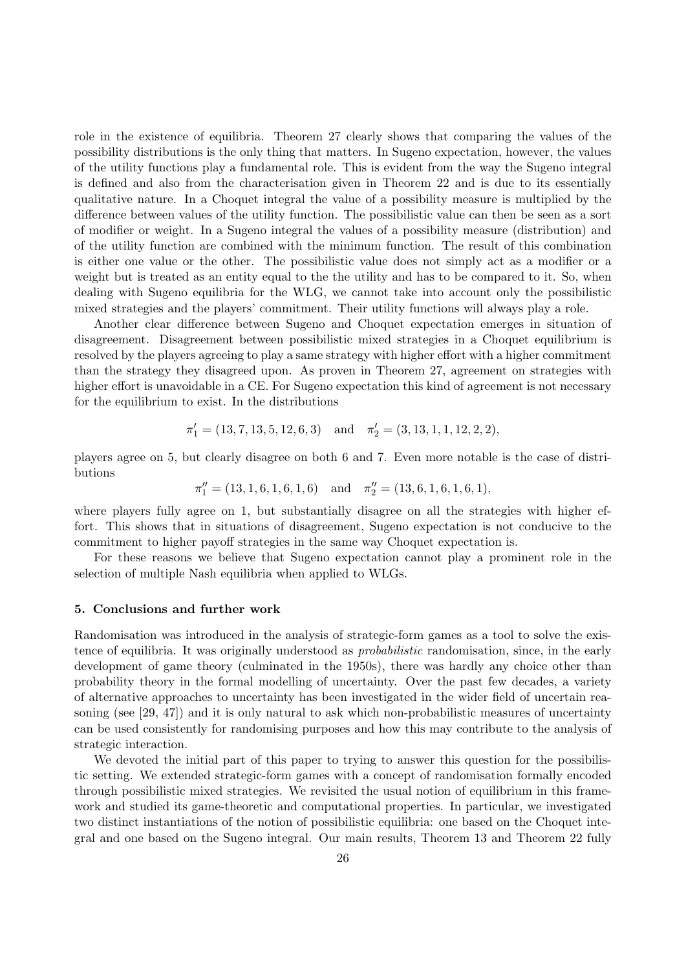role in the existence of equilibria. Theorem 27 clearly shows that comparing the values of the possibility distributions is the only thing that matters. In Sugeno expectation, however, the values of the utility functions play a fundamental role. This is evident from the way the Sugeno integral is defined and also from the characterisation given in Theorem 22 and is due to its essentially qualitative nature. In a Choquet integral the value of a possibility measure is multiplied by the difference between values of the utility function. The possibilistic value can then be seen as a sort of modifier or weight. In a Sugeno integral the values of a possibility measure (distribution) and of the utility function are combined with the minimum function. The result of this combination is either one value or the other. The possibilistic value does not simply act as a modifier or a weight but is treated as an entity equal to the the utility and has to be compared to it. So, when dealing with Sugeno equilibria for the WLG, we cannot take into account only the possibilistic mixed strategies and the players' commitment. Their utility functions will always play a role.

Another clear difference between Sugeno and Choquet expectation emerges in situation of disagreement. Disagreement between possibilistic mixed strategies in a Choquet equilibrium is resolved by the players agreeing to play a same strategy with higher effort with a higher commitment than the strategy they disagreed upon. As proven in Theorem 27, agreement on strategies with higher effort is unavoidable in a CE. For Sugeno expectation this kind of agreement is not necessary for the equilibrium to exist. In the distributions

$$
\pi'_1 = (13, 7, 13, 5, 12, 6, 3)
$$
 and  $\pi'_2 = (3, 13, 1, 1, 12, 2, 2),$ 

players agree on 5, but clearly disagree on both 6 and 7. Even more notable is the case of distributions

$$
\pi_1'' = (13, 1, 6, 1, 6, 1, 6)
$$
 and  $\pi_2'' = (13, 6, 1, 6, 1, 6, 1),$ 

where players fully agree on 1, but substantially disagree on all the strategies with higher effort. This shows that in situations of disagreement, Sugeno expectation is not conducive to the commitment to higher payoff strategies in the same way Choquet expectation is.

For these reasons we believe that Sugeno expectation cannot play a prominent role in the selection of multiple Nash equilibria when applied to WLGs.

### 5. Conclusions and further work

Randomisation was introduced in the analysis of strategic-form games as a tool to solve the existence of equilibria. It was originally understood as probabilistic randomisation, since, in the early development of game theory (culminated in the 1950s), there was hardly any choice other than probability theory in the formal modelling of uncertainty. Over the past few decades, a variety of alternative approaches to uncertainty has been investigated in the wider field of uncertain reasoning (see [29, 47]) and it is only natural to ask which non-probabilistic measures of uncertainty can be used consistently for randomising purposes and how this may contribute to the analysis of strategic interaction.

We devoted the initial part of this paper to trying to answer this question for the possibilistic setting. We extended strategic-form games with a concept of randomisation formally encoded through possibilistic mixed strategies. We revisited the usual notion of equilibrium in this framework and studied its game-theoretic and computational properties. In particular, we investigated two distinct instantiations of the notion of possibilistic equilibria: one based on the Choquet integral and one based on the Sugeno integral. Our main results, Theorem 13 and Theorem 22 fully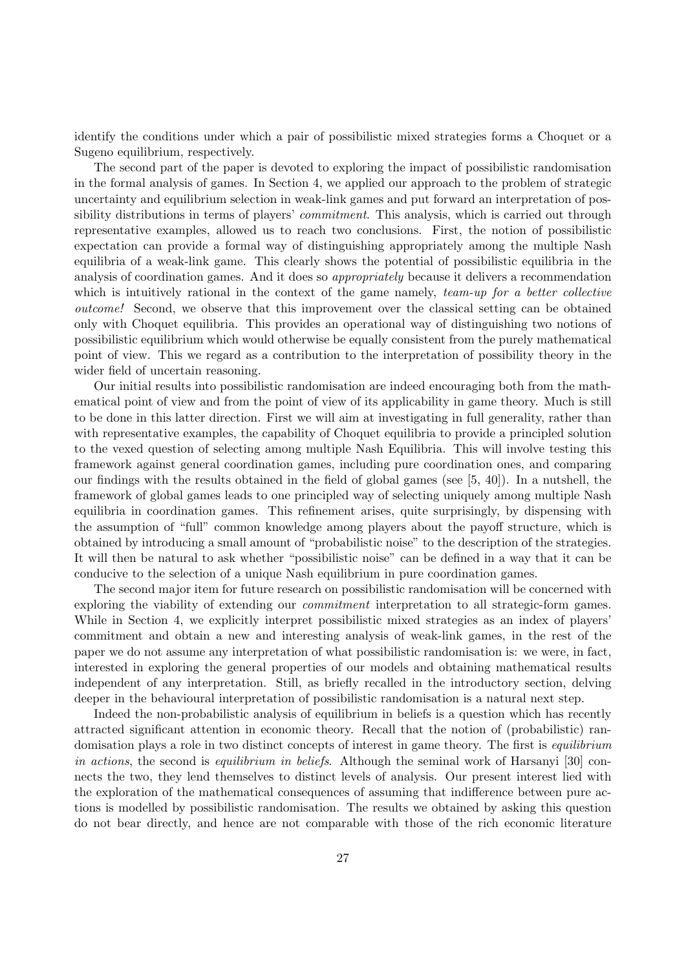identify the conditions under which a pair of possibilistic mixed strategies forms a Choquet or a Sugeno equilibrium, respectively.

The second part of the paper is devoted to exploring the impact of possibilistic randomisation in the formal analysis of games. In Section 4, we applied our approach to the problem of strategic uncertainty and equilibrium selection in weak-link games and put forward an interpretation of possibility distributions in terms of players' *commitment*. This analysis, which is carried out through representative examples, allowed us to reach two conclusions. First, the notion of possibilistic expectation can provide a formal way of distinguishing appropriately among the multiple Nash equilibria of a weak-link game. This clearly shows the potential of possibilistic equilibria in the analysis of coordination games. And it does so appropriately because it delivers a recommendation which is intuitively rational in the context of the game namely, team-up for a better collective outcome! Second, we observe that this improvement over the classical setting can be obtained only with Choquet equilibria. This provides an operational way of distinguishing two notions of possibilistic equilibrium which would otherwise be equally consistent from the purely mathematical point of view. This we regard as a contribution to the interpretation of possibility theory in the wider field of uncertain reasoning.

Our initial results into possibilistic randomisation are indeed encouraging both from the mathematical point of view and from the point of view of its applicability in game theory. Much is still to be done in this latter direction. First we will aim at investigating in full generality, rather than with representative examples, the capability of Choquet equilibria to provide a principled solution to the vexed question of selecting among multiple Nash Equilibria. This will involve testing this framework against general coordination games, including pure coordination ones, and comparing our findings with the results obtained in the field of global games (see [5, 40]). In a nutshell, the framework of global games leads to one principled way of selecting uniquely among multiple Nash equilibria in coordination games. This refinement arises, quite surprisingly, by dispensing with the assumption of "full" common knowledge among players about the payoff structure, which is obtained by introducing a small amount of "probabilistic noise" to the description of the strategies. It will then be natural to ask whether "possibilistic noise" can be defined in a way that it can be conducive to the selection of a unique Nash equilibrium in pure coordination games.

The second major item for future research on possibilistic randomisation will be concerned with exploring the viability of extending our commitment interpretation to all strategic-form games. While in Section 4, we explicitly interpret possibilistic mixed strategies as an index of players' commitment and obtain a new and interesting analysis of weak-link games, in the rest of the paper we do not assume any interpretation of what possibilistic randomisation is: we were, in fact, interested in exploring the general properties of our models and obtaining mathematical results independent of any interpretation. Still, as briefly recalled in the introductory section, delving deeper in the behavioural interpretation of possibilistic randomisation is a natural next step.

Indeed the non-probabilistic analysis of equilibrium in beliefs is a question which has recently attracted significant attention in economic theory. Recall that the notion of (probabilistic) randomisation plays a role in two distinct concepts of interest in game theory. The first is equilibrium in actions, the second is *equilibrium in beliefs*. Although the seminal work of Harsanyi [30] connects the two, they lend themselves to distinct levels of analysis. Our present interest lied with the exploration of the mathematical consequences of assuming that indifference between pure actions is modelled by possibilistic randomisation. The results we obtained by asking this question do not bear directly, and hence are not comparable with those of the rich economic literature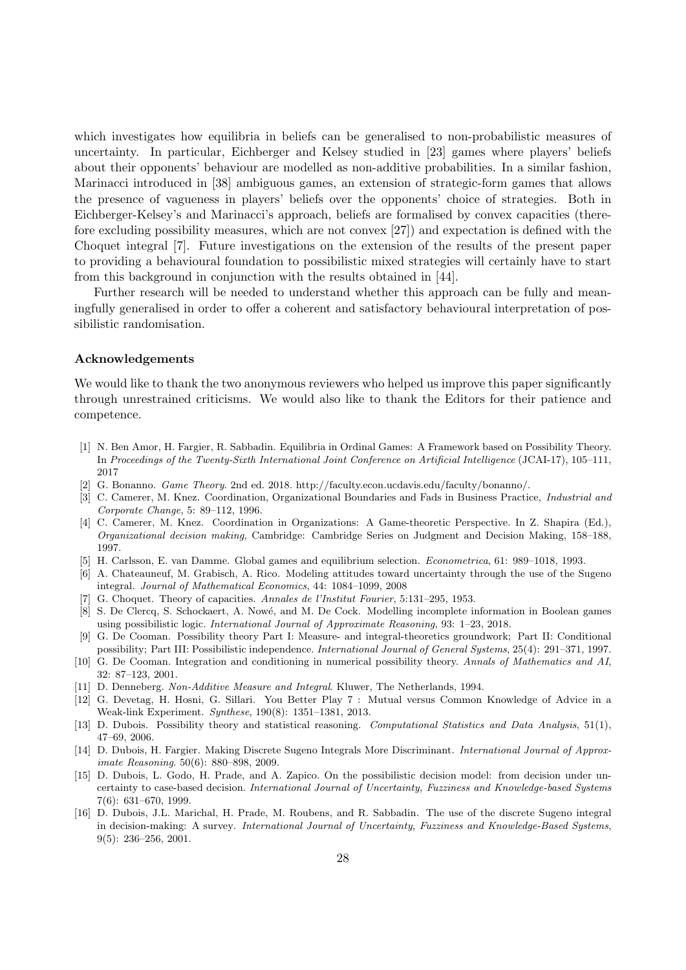which investigates how equilibria in beliefs can be generalised to non-probabilistic measures of uncertainty. In particular, Eichberger and Kelsey studied in [23] games where players' beliefs about their opponents' behaviour are modelled as non-additive probabilities. In a similar fashion, Marinacci introduced in [38] ambiguous games, an extension of strategic-form games that allows the presence of vagueness in players' beliefs over the opponents' choice of strategies. Both in Eichberger-Kelsey's and Marinacci's approach, beliefs are formalised by convex capacities (therefore excluding possibility measures, which are not convex [27]) and expectation is defined with the Choquet integral [7]. Future investigations on the extension of the results of the present paper to providing a behavioural foundation to possibilistic mixed strategies will certainly have to start from this background in conjunction with the results obtained in [44].

Further research will be needed to understand whether this approach can be fully and meaningfully generalised in order to offer a coherent and satisfactory behavioural interpretation of possibilistic randomisation.

## Acknowledgements

We would like to thank the two anonymous reviewers who helped us improve this paper significantly through unrestrained criticisms. We would also like to thank the Editors for their patience and competence.

- [1] N. Ben Amor, H. Fargier, R. Sabbadin. Equilibria in Ordinal Games: A Framework based on Possibility Theory. In Proceedings of the Twenty-Sixth International Joint Conference on Artificial Intelligence (JCAI-17), 105–111, 2017
- [2] G. Bonanno. Game Theory. 2nd ed. 2018. http://faculty.econ.ucdavis.edu/faculty/bonanno/.
- [3] C. Camerer, M. Knez. Coordination, Organizational Boundaries and Fads in Business Practice, *Industrial and* Corporate Change, 5: 89–112, 1996.
- [4] C. Camerer, M. Knez. Coordination in Organizations: A Game-theoretic Perspective. In Z. Shapira (Ed.), Organizational decision making, Cambridge: Cambridge Series on Judgment and Decision Making, 158–188, 1997.
- [5] H. Carlsson, E. van Damme. Global games and equilibrium selection. Econometrica, 61: 989–1018, 1993.
- [6] A. Chateauneuf, M. Grabisch, A. Rico. Modeling attitudes toward uncertainty through the use of the Sugeno integral. Journal of Mathematical Economics, 44: 1084–1099, 2008
- [7] G. Choquet. Theory of capacities. Annales de l'Institut Fourier, 5:131–295, 1953.
- [8] S. De Clercq, S. Schockaert, A. Nowé, and M. De Cock. Modelling incomplete information in Boolean games using possibilistic logic. International Journal of Approximate Reasoning, 93: 1–23, 2018.
- [9] G. De Cooman. Possibility theory Part I: Measure- and integral-theoretics groundwork; Part II: Conditional possibility; Part III: Possibilistic independence. International Journal of General Systems, 25(4): 291–371, 1997.
- [10] G. De Cooman. Integration and conditioning in numerical possibility theory. Annals of Mathematics and AI, 32: 87–123, 2001.
- [11] D. Denneberg. Non-Additive Measure and Integral. Kluwer, The Netherlands, 1994.
- [12] G. Devetag, H. Hosni, G. Sillari. You Better Play 7 : Mutual versus Common Knowledge of Advice in a Weak-link Experiment. Synthese, 190(8): 1351–1381, 2013.
- [13] D. Dubois. Possibility theory and statistical reasoning. Computational Statistics and Data Analysis, 51(1), 47–69, 2006.
- [14] D. Dubois, H. Fargier. Making Discrete Sugeno Integrals More Discriminant. *International Journal of Approx*imate Reasoning. 50(6): 880–898, 2009.
- [15] D. Dubois, L. Godo, H. Prade, and A. Zapico. On the possibilistic decision model: from decision under uncertainty to case-based decision. International Journal of Uncertainty, Fuzziness and Knowledge-based Systems 7(6): 631–670, 1999.
- [16] D. Dubois, J.L. Marichal, H. Prade, M. Roubens, and R. Sabbadin. The use of the discrete Sugeno integral in decision-making: A survey. International Journal of Uncertainty, Fuzziness and Knowledge-Based Systems, 9(5): 236–256, 2001.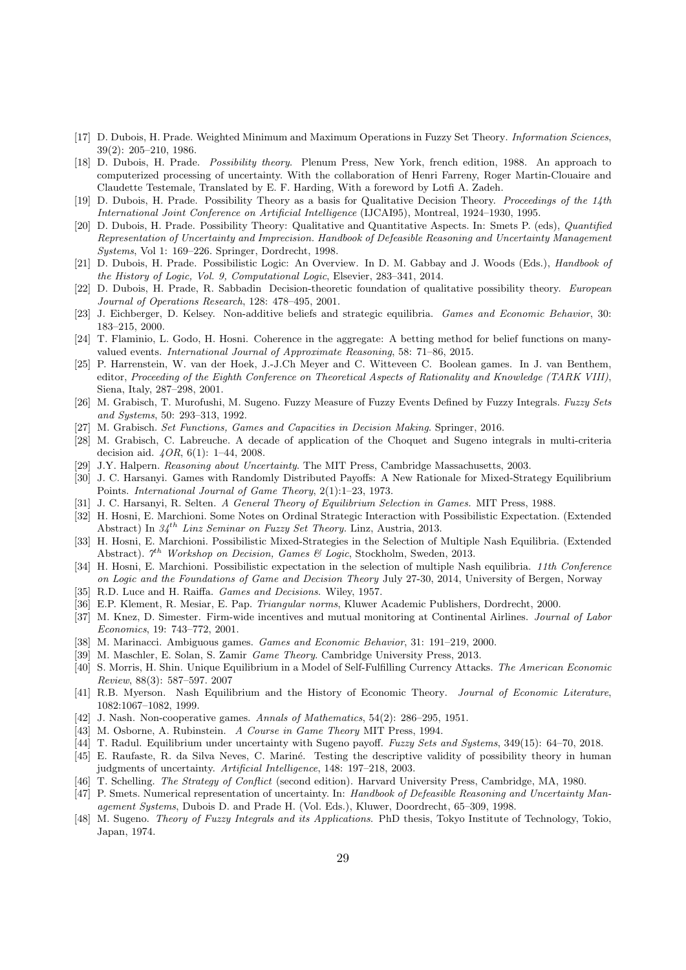- [17] D. Dubois, H. Prade. Weighted Minimum and Maximum Operations in Fuzzy Set Theory. Information Sciences, 39(2): 205–210, 1986.
- [18] D. Dubois, H. Prade. Possibility theory. Plenum Press, New York, french edition, 1988. An approach to computerized processing of uncertainty. With the collaboration of Henri Farreny, Roger Martin-Clouaire and Claudette Testemale, Translated by E. F. Harding, With a foreword by Lotfi A. Zadeh.
- [19] D. Dubois, H. Prade. Possibility Theory as a basis for Qualitative Decision Theory. Proceedings of the 14th International Joint Conference on Artificial Intelligence (IJCAI95), Montreal, 1924–1930, 1995.
- [20] D. Dubois, H. Prade. Possibility Theory: Qualitative and Quantitative Aspects. In: Smets P. (eds), Quantified Representation of Uncertainty and Imprecision. Handbook of Defeasible Reasoning and Uncertainty Management Systems, Vol 1: 169–226. Springer, Dordrecht, 1998.
- [21] D. Dubois, H. Prade. Possibilistic Logic: An Overview. In D. M. Gabbay and J. Woods (Eds.), Handbook of the History of Logic, Vol. 9, Computational Logic, Elsevier, 283–341, 2014.
- [22] D. Dubois, H. Prade, R. Sabbadin Decision-theoretic foundation of qualitative possibility theory. European Journal of Operations Research, 128: 478–495, 2001.
- [23] J. Eichberger, D. Kelsey. Non-additive beliefs and strategic equilibria. Games and Economic Behavior, 30: 183–215, 2000.
- [24] T. Flaminio, L. Godo, H. Hosni. Coherence in the aggregate: A betting method for belief functions on manyvalued events. International Journal of Approximate Reasoning, 58: 71–86, 2015.
- [25] P. Harrenstein, W. van der Hoek, J.-J.Ch Meyer and C. Witteveen C. Boolean games. In J. van Benthem, editor, Proceeding of the Eighth Conference on Theoretical Aspects of Rationality and Knowledge (TARK VIII), Siena, Italy, 287–298, 2001.
- [26] M. Grabisch, T. Murofushi, M. Sugeno. Fuzzy Measure of Fuzzy Events Defined by Fuzzy Integrals. Fuzzy Sets and Systems, 50: 293–313, 1992.
- [27] M. Grabisch. Set Functions, Games and Capacities in Decision Making. Springer, 2016.
- [28] M. Grabisch, C. Labreuche. A decade of application of the Choquet and Sugeno integrals in multi-criteria decision aid.  $\angle$  *OR*,  $6(1)$ : 1–44, 2008.
- [29] J.Y. Halpern. Reasoning about Uncertainty. The MIT Press, Cambridge Massachusetts, 2003.
- [30] J. C. Harsanyi. Games with Randomly Distributed Payoffs: A New Rationale for Mixed-Strategy Equilibrium Points. International Journal of Game Theory, 2(1):1–23, 1973.
- [31] J. C. Harsanyi, R. Selten. A General Theory of Equilibrium Selection in Games. MIT Press, 1988.
- [32] H. Hosni, E. Marchioni. Some Notes on Ordinal Strategic Interaction with Possibilistic Expectation. (Extended Abstract) In  $34^{th}$  Linz Seminar on Fuzzy Set Theory. Linz, Austria, 2013.
- [33] H. Hosni, E. Marchioni. Possibilistic Mixed-Strategies in the Selection of Multiple Nash Equilibria. (Extended Abstract).  $\gamma^{th}$  Workshop on Decision, Games & Logic, Stockholm, Sweden, 2013.
- [34] H. Hosni, E. Marchioni. Possibilistic expectation in the selection of multiple Nash equilibria. 11th Conference on Logic and the Foundations of Game and Decision Theory July 27-30, 2014, University of Bergen, Norway
- [35] R.D. Luce and H. Raiffa. *Games and Decisions*. Wiley, 1957.
- [36] E.P. Klement, R. Mesiar, E. Pap. Triangular norms, Kluwer Academic Publishers, Dordrecht, 2000.
- [37] M. Knez, D. Simester. Firm-wide incentives and mutual monitoring at Continental Airlines. Journal of Labor Economics, 19: 743–772, 2001.
- [38] M. Marinacci. Ambiguous games. Games and Economic Behavior, 31: 191–219, 2000.
- [39] M. Maschler, E. Solan, S. Zamir Game Theory. Cambridge University Press, 2013.
- [40] S. Morris, H. Shin. Unique Equilibrium in a Model of Self-Fulfilling Currency Attacks. The American Economic Review, 88(3): 587–597. 2007
- [41] R.B. Myerson. Nash Equilibrium and the History of Economic Theory. Journal of Economic Literature, 1082:1067–1082, 1999.
- [42] J. Nash. Non-cooperative games. Annals of Mathematics, 54(2): 286–295, 1951.
- [43] M. Osborne, A. Rubinstein. A Course in Game Theory MIT Press, 1994.
- [44] T. Radul. Equilibrium under uncertainty with Sugeno payoff. Fuzzy Sets and Systems, 349(15): 64–70, 2018.
- [45] E. Raufaste, R. da Silva Neves, C. Mariné. Testing the descriptive validity of possibility theory in human judgments of uncertainty. Artificial Intelligence, 148: 197–218, 2003.
- [46] T. Schelling. The Strategy of Conflict (second edition). Harvard University Press, Cambridge, MA, 1980.
- [47] P. Smets. Numerical representation of uncertainty. In: Handbook of Defeasible Reasoning and Uncertainty Management Systems, Dubois D. and Prade H. (Vol. Eds.), Kluwer, Doordrecht, 65–309, 1998.
- [48] M. Sugeno. Theory of Fuzzy Integrals and its Applications. PhD thesis, Tokyo Institute of Technology, Tokio, Japan, 1974.